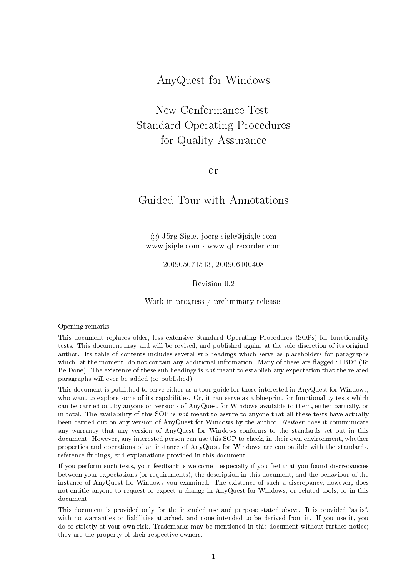AnyQuest for Windows

New Conformance Test: Standard Operating Procedures for Quality Assurance

or

# Guided Tour with Annotations

© Jörg Sigle, joerg.sigle@jsigle.com www.jsigle.com · www.ql-recorder.com

200905071513, 200906100408

Revision 0.2

Work in progress / preliminary release.

Opening remarks

This document replaces older, less extensive Standard Operating Procedures (SOPs) for functionality tests. This document may and will be revised, and published again, at the sole discretion of its original author. Its table of contents includes several sub-headings which serve as placeholders for paragraphs which, at the moment, do not contain any additional information. Many of these are flagged "TBD" (To Be Done). The existence of these sub-headings is not meant to establish any expectation that the related paragraphs will ever be added (or published).

This document is published to serve either as a tour guide for those interested in AnyQuest for Windows, who want to explore some of its capabilities. Or, it can serve as a blueprint for functionality tests which can be carried out by anyone on versions of AnyQuest for Windows available to them, either partially, or in total. The availability of this SOP is not meant to assure to anyone that all these tests have actually been carried out on any version of AnyQuest for Windows by the author. Neither does it communicate any warranty that any version of AnyQuest for Windows conforms to the standards set out in this document. However, any interested person can use this SOP to check, in their own environment, whether properties and operations of an instance of AnyQuest for Windows are compatible with the standards, reference findings, and explanations provided in this document.

If you perform such tests, your feedback is welcome - especially if you feel that you found discrepancies between your expectations (or requirements), the description in this document, and the behaviour of the instance of AnyQuest for Windows you examined. The existence of such a discrepancy, however, does not entitle anyone to request or expect a change in AnyQuest for Windows, or related tools, or in this document.

This document is provided only for the intended use and purpose stated above. It is provided "as is", with no warranties or liabilities attached, and none intended to be derived from it. If you use it, you do so strictly at your own risk. Trademarks may be mentioned in this document without further notice; they are the property of their respective owners.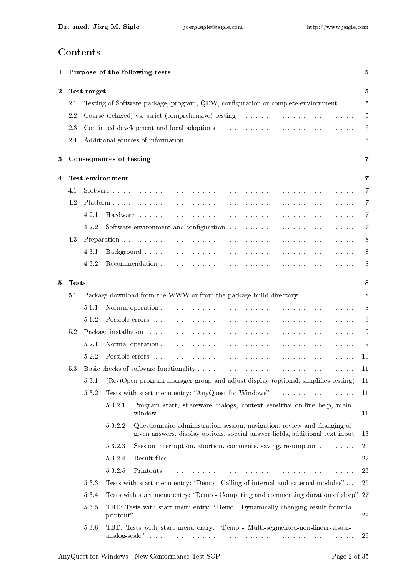# Contents

| Purpose of the following tests<br>1 |                                                                                          |                                                                                     |                  |                                                                                                                                                                                                                                                                                                          | 5              |  |  |
|-------------------------------------|------------------------------------------------------------------------------------------|-------------------------------------------------------------------------------------|------------------|----------------------------------------------------------------------------------------------------------------------------------------------------------------------------------------------------------------------------------------------------------------------------------------------------------|----------------|--|--|
| $\bf{2}$                            |                                                                                          | Test target                                                                         |                  |                                                                                                                                                                                                                                                                                                          | 5              |  |  |
|                                     | 2.1                                                                                      |                                                                                     |                  | Testing of Software-package, program, QDW, configuration or complete environment                                                                                                                                                                                                                         | $\overline{5}$ |  |  |
|                                     | 2.2                                                                                      |                                                                                     |                  |                                                                                                                                                                                                                                                                                                          | $\overline{5}$ |  |  |
|                                     | 2.3                                                                                      |                                                                                     |                  |                                                                                                                                                                                                                                                                                                          | 6              |  |  |
|                                     | 2.4                                                                                      |                                                                                     |                  |                                                                                                                                                                                                                                                                                                          | 6              |  |  |
| 3                                   |                                                                                          | Consequences of testing                                                             |                  |                                                                                                                                                                                                                                                                                                          |                |  |  |
| 4                                   |                                                                                          |                                                                                     | Test environment |                                                                                                                                                                                                                                                                                                          | 7              |  |  |
|                                     | 4.1                                                                                      |                                                                                     |                  | 7                                                                                                                                                                                                                                                                                                        |                |  |  |
|                                     | 4.2                                                                                      |                                                                                     |                  |                                                                                                                                                                                                                                                                                                          | 7              |  |  |
|                                     |                                                                                          | 4.2.1                                                                               |                  |                                                                                                                                                                                                                                                                                                          | $\overline{7}$ |  |  |
|                                     |                                                                                          | 4.2.2                                                                               |                  |                                                                                                                                                                                                                                                                                                          | $\overline{7}$ |  |  |
|                                     | 4.3                                                                                      |                                                                                     |                  |                                                                                                                                                                                                                                                                                                          | 8              |  |  |
|                                     |                                                                                          | 4.3.1                                                                               |                  |                                                                                                                                                                                                                                                                                                          | 8              |  |  |
|                                     |                                                                                          | 4.3.2                                                                               |                  |                                                                                                                                                                                                                                                                                                          | 8              |  |  |
| 5                                   | <b>Tests</b>                                                                             |                                                                                     |                  |                                                                                                                                                                                                                                                                                                          |                |  |  |
|                                     | 5.1                                                                                      |                                                                                     |                  | Package download from the WWW or from the package build directory                                                                                                                                                                                                                                        | 8              |  |  |
|                                     |                                                                                          | 5.1.1                                                                               |                  |                                                                                                                                                                                                                                                                                                          | 8              |  |  |
|                                     |                                                                                          | 5.1.2                                                                               |                  | Possible errors and an annual and an annual and an annual and an annual and an annual and an annual and an annual and an annual and an annual and an annual and an annual and an annual and an annual and an annual and an ann                                                                           | 9              |  |  |
|                                     | 5.2                                                                                      |                                                                                     |                  |                                                                                                                                                                                                                                                                                                          | 9              |  |  |
|                                     |                                                                                          | 5.2.1                                                                               |                  |                                                                                                                                                                                                                                                                                                          | 9              |  |  |
|                                     |                                                                                          | 5.2.2                                                                               |                  | Possible errors and a contract of the contract of the contract of the contract of the contract of the contract of the contract of the contract of the contract of the contract of the contract of the contract of the contract                                                                           | 10             |  |  |
|                                     | 5.3                                                                                      |                                                                                     |                  |                                                                                                                                                                                                                                                                                                          | 11             |  |  |
|                                     |                                                                                          | 531                                                                                 |                  | (Re-)Open program manager group and adjust display (optional, simplifies testing)                                                                                                                                                                                                                        | 11             |  |  |
|                                     |                                                                                          | $5\;3\;2$                                                                           |                  | Tests with start menu entry: "AnyQuest for Windows"                                                                                                                                                                                                                                                      | 11             |  |  |
|                                     |                                                                                          |                                                                                     | 5321             | Program start, shareware dialogs, context sensitive on-line help, main<br>window the company contract of the company of the company of the company of the company of the company of the company of the company of the company of the company of the company of the company of the company of the company | 11             |  |  |
|                                     |                                                                                          |                                                                                     | 5322             | Questionnaire administration session, navigation, review and changing of<br>given answers, display options, special answer fields, additional text input                                                                                                                                                 | 13             |  |  |
|                                     |                                                                                          |                                                                                     | 5323             | Session interruption, abortion, comments, saving, resumption                                                                                                                                                                                                                                             | 20             |  |  |
|                                     |                                                                                          |                                                                                     | 5324             |                                                                                                                                                                                                                                                                                                          | 22             |  |  |
|                                     |                                                                                          |                                                                                     | 5325             |                                                                                                                                                                                                                                                                                                          | 23             |  |  |
|                                     |                                                                                          | 5.33                                                                                |                  | Tests with start menu entry: "Demo - Calling of internal and external modules"                                                                                                                                                                                                                           | 25             |  |  |
|                                     |                                                                                          | Tests with start menu entry: "Demo - Computing and commenting duration of sleep" 27 |                  |                                                                                                                                                                                                                                                                                                          |                |  |  |
|                                     | $5.3.5$<br>TBD: Tests with start menu entry: "Demo - Dynamically changing result formula |                                                                                     |                  |                                                                                                                                                                                                                                                                                                          | 29             |  |  |
|                                     |                                                                                          | 5.3.6                                                                               |                  | TBD: Tests with start menu entry: "Demo - Multi-segmented-non-linear-visual-                                                                                                                                                                                                                             | 29             |  |  |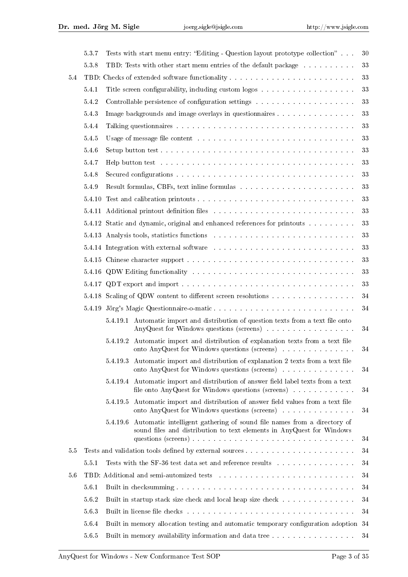|     | 5.3.7                                                                                                                                              |                                                                         | Tests with start menu entry: "Editing - Question layout prototype collection"                                                                                                                                                  | 30 |  |  |  |
|-----|----------------------------------------------------------------------------------------------------------------------------------------------------|-------------------------------------------------------------------------|--------------------------------------------------------------------------------------------------------------------------------------------------------------------------------------------------------------------------------|----|--|--|--|
|     | 5.3.8                                                                                                                                              |                                                                         | TBD: Tests with other start menu entries of the default package                                                                                                                                                                | 33 |  |  |  |
| 5.4 |                                                                                                                                                    |                                                                         |                                                                                                                                                                                                                                |    |  |  |  |
|     | 5.4.1                                                                                                                                              |                                                                         |                                                                                                                                                                                                                                | 33 |  |  |  |
|     | 5.4.2                                                                                                                                              |                                                                         |                                                                                                                                                                                                                                | 33 |  |  |  |
|     | 543                                                                                                                                                |                                                                         | Image backgrounds and image overlays in questionnaires                                                                                                                                                                         | 33 |  |  |  |
|     | 5.4.4                                                                                                                                              |                                                                         |                                                                                                                                                                                                                                | 33 |  |  |  |
|     | 5.4.5                                                                                                                                              |                                                                         |                                                                                                                                                                                                                                | 33 |  |  |  |
|     | 5.4.6                                                                                                                                              |                                                                         |                                                                                                                                                                                                                                | 33 |  |  |  |
|     | 5.4.7                                                                                                                                              |                                                                         | Help button test with a subsequence of the contract of the contract of the contract of the contract of the contract of the contract of the contract of the contract of the contract of the contract of the contract of the con | 33 |  |  |  |
|     | 5.4.8                                                                                                                                              |                                                                         |                                                                                                                                                                                                                                | 33 |  |  |  |
|     | 5.4.9                                                                                                                                              |                                                                         |                                                                                                                                                                                                                                | 33 |  |  |  |
|     | 5.4.10                                                                                                                                             |                                                                         |                                                                                                                                                                                                                                | 33 |  |  |  |
|     |                                                                                                                                                    |                                                                         | 5.4.11 Additional printout definition files entertainment of the set of the set of the set of the set of the set of the set of the set of the set of the set of the set of the set of the set of the set of the set of the set | 33 |  |  |  |
|     |                                                                                                                                                    |                                                                         | 5.4.12 Static and dynamic, original and enhanced references for printouts                                                                                                                                                      | 33 |  |  |  |
|     |                                                                                                                                                    |                                                                         |                                                                                                                                                                                                                                | 33 |  |  |  |
|     |                                                                                                                                                    |                                                                         | 5.4.14 Integration with external software resources in the set of the set of the set of the set of the set of the set of the set of the set of the set of the set of the set of the set of the set of the set of the set of th | 33 |  |  |  |
|     |                                                                                                                                                    |                                                                         |                                                                                                                                                                                                                                | 33 |  |  |  |
|     |                                                                                                                                                    |                                                                         |                                                                                                                                                                                                                                | 33 |  |  |  |
|     |                                                                                                                                                    |                                                                         |                                                                                                                                                                                                                                | 33 |  |  |  |
|     |                                                                                                                                                    |                                                                         | 5.4.18 Scaling of QDW content to different screen resolutions                                                                                                                                                                  | 34 |  |  |  |
|     |                                                                                                                                                    |                                                                         | 5.4.19 Jörg's Magic Questionnaire-o-matic                                                                                                                                                                                      | 34 |  |  |  |
|     |                                                                                                                                                    | 5.4.19.1                                                                | Automatic import and distribution of question texts from a text file onto                                                                                                                                                      | 34 |  |  |  |
|     |                                                                                                                                                    | 5.4.19.2                                                                | Automatic import and distribution of explanation texts from a text file<br>onto AnyQuest for Windows questions (screens)                                                                                                       | 34 |  |  |  |
|     |                                                                                                                                                    | 5.4.19.3                                                                | Automatic import and distribution of explanation 2 texts from a text file<br>onto AnyQuest for Windows questions (screens)                                                                                                     | 34 |  |  |  |
|     |                                                                                                                                                    |                                                                         | 5.4.19.4 Automatic import and distribution of answer field label texts from a text<br>file onto AnyQuest for Windows questions (screens)                                                                                       | 34 |  |  |  |
|     |                                                                                                                                                    | 5.4.19.5                                                                | Automatic import and distribution of answer field values from a text file<br>onto AnyQuest for Windows questions (screens)                                                                                                     | 34 |  |  |  |
|     |                                                                                                                                                    | 5.4.19.6                                                                | Automatic intelligent gathering of sound file names from a directory of<br>sound files and distribution to text elements in AnyQuest for Windows                                                                               | 34 |  |  |  |
| 5.5 |                                                                                                                                                    |                                                                         |                                                                                                                                                                                                                                | 34 |  |  |  |
|     | 5.5.1                                                                                                                                              |                                                                         | Tests with the SF-36 test data set and reference results $\ldots \ldots \ldots \ldots \ldots$                                                                                                                                  | 34 |  |  |  |
| 5.6 | TBD: Additional and semi-automized tests resources and semi-automized tests resources and semi-automized tests resources and semi-automized tests. |                                                                         |                                                                                                                                                                                                                                |    |  |  |  |
|     | 34<br>5.6.1                                                                                                                                        |                                                                         |                                                                                                                                                                                                                                |    |  |  |  |
|     | 5.6.2                                                                                                                                              | 34<br>Built in startup stack size check and local heap size check<br>34 |                                                                                                                                                                                                                                |    |  |  |  |
|     | 563                                                                                                                                                |                                                                         |                                                                                                                                                                                                                                | 34 |  |  |  |
|     | 5.6.4                                                                                                                                              |                                                                         | Built in memory allocation testing and automatic temporary configuration adoption 34                                                                                                                                           |    |  |  |  |
|     | $5.6.5$                                                                                                                                            |                                                                         | Built in memory availability information and data tree                                                                                                                                                                         | 34 |  |  |  |
|     |                                                                                                                                                    |                                                                         |                                                                                                                                                                                                                                |    |  |  |  |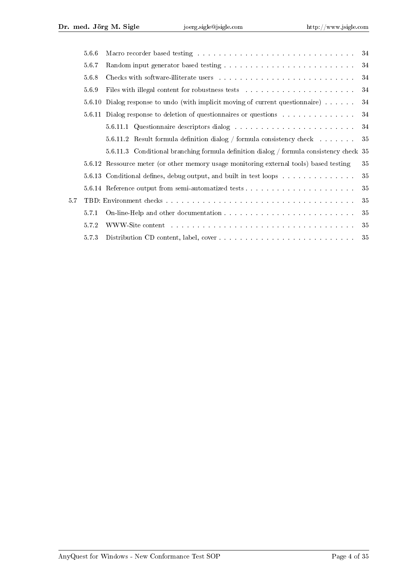|     | 5.6.6 | Macro recorder based testing with a subsequently subsequently and the set of the set of the set of the set of the set of the set of the set of the set of the set of the set of the set of the set of the set of the set of th<br>34 |        |  |  |  |  |
|-----|-------|--------------------------------------------------------------------------------------------------------------------------------------------------------------------------------------------------------------------------------------|--------|--|--|--|--|
|     | 5.6.7 |                                                                                                                                                                                                                                      | 34     |  |  |  |  |
|     | 5.6.8 |                                                                                                                                                                                                                                      |        |  |  |  |  |
|     | 569   |                                                                                                                                                                                                                                      | 34     |  |  |  |  |
|     |       | 5.6.10 Dialog response to undo (with implicit moving of current questionnaire)                                                                                                                                                       | 34     |  |  |  |  |
|     |       | 5.6.11 Dialog response to deletion of questionnaires or questions                                                                                                                                                                    | 34     |  |  |  |  |
|     |       |                                                                                                                                                                                                                                      | 34     |  |  |  |  |
|     |       | 5.6.11.2 Result formula definition dialog / formula consistency check $\dots \dots$                                                                                                                                                  | 35     |  |  |  |  |
|     |       | 5.6.11.3 Conditional branching formula definition dialog / formula consistency check 35                                                                                                                                              |        |  |  |  |  |
|     |       | 5.6.12 Ressource meter (or other memory usage monitoring external tools) based testing                                                                                                                                               | $35\,$ |  |  |  |  |
|     |       | 5.6.13 Conditional defines, debug output, and built in test loops                                                                                                                                                                    | 35     |  |  |  |  |
|     |       |                                                                                                                                                                                                                                      | 35     |  |  |  |  |
| 5.7 |       | 35                                                                                                                                                                                                                                   |        |  |  |  |  |
|     | 5.7.1 |                                                                                                                                                                                                                                      | 35     |  |  |  |  |
|     | 5.72  | WWW-Site content entering the service of the service of the service of the service of the service of the service of the service of the service of the service of the service of the service of the service of the service of t       | 35     |  |  |  |  |
|     | 5.7.3 |                                                                                                                                                                                                                                      | 35     |  |  |  |  |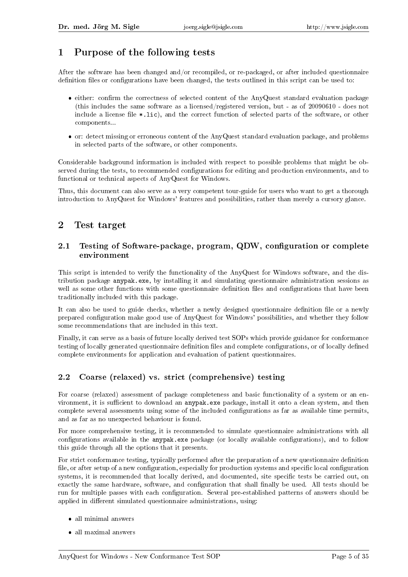# 1 Purpose of the following tests

After the software has been changed and/or recompiled, or re-packaged, or after included questionnaire definition files or configurations have been changed, the tests outlined in this script can be used to:

- either: confirm the correctness of selected content of the AnyQuest standard evaluation package (this includes the same software as a licensed/registered version, but - as of 20090610 - does not include a license file  $\ast$ .lic), and the correct function of selected parts of the software, or other components...
- or: detect missing or erroneous content of the AnyQuest standard evaluation package, and problems in selected parts of the software, or other components.

Considerable background information is included with respect to possible problems that might be observed during the tests, to recommended configurations for editing and production environments, and to functional or technical aspects of AnyQuest for Windows.

Thus, this document can also serve as a very competent tour-guide for users who want to get a thorough introduction to AnyQuest for Windows' features and possibilities, rather than merely a cursory glance.

## 2 Test target

### 2.1 Testing of Software-package, program, QDW, configuration or complete environment

This script is intended to verify the functionality of the AnyQuest for Windows software, and the distribution package anypak.exe, by installing it and simulating questionnaire administration sessions as well as some other functions with some questionnaire definition files and configurations that have been traditionally included with this package.

It can also be used to guide checks, whether a newly designed questionnaire definition file or a newly prepared conguration make good use of AnyQuest for Windows' possibilities, and whether they follow some recommendations that are included in this text.

Finally, it can serve as a basis of future locally derived test SOPs which provide guidance for conformance testing of locally generated questionnaire definition files and complete configurations, or of locally defined complete environments for application and evaluation of patient questionnaires.

## 2.2 Coarse (relaxed) vs. strict (comprehensive) testing

For coarse (relaxed) assessment of package completeness and basic functionality of a system or an environment, it is sufficient to download an anypak.exe package, install it onto a clean system, and then complete several assessments using some of the included congurations as far as available time permits, and as far as no unexpected behaviour is found.

For more comprehensive testing, it is recommended to simulate questionnaire administrations with all configurations available in the anypak.exe package (or locally available configurations), and to follow this guide through all the options that it presents.

For strict conformance testing, typically performed after the preparation of a new questionnaire definition file, or after setup of a new configuration, especially for production systems and specific local configuration systems, it is recommended that locally derived, and documented, site specific tests be carried out, on exactly the same hardware, software, and configuration that shall finally be used. All tests should be run for multiple passes with each configuration. Several pre-established patterns of answers should be applied in different simulated questionnaire administrations, using:

- all minimal answers
- all maximal answers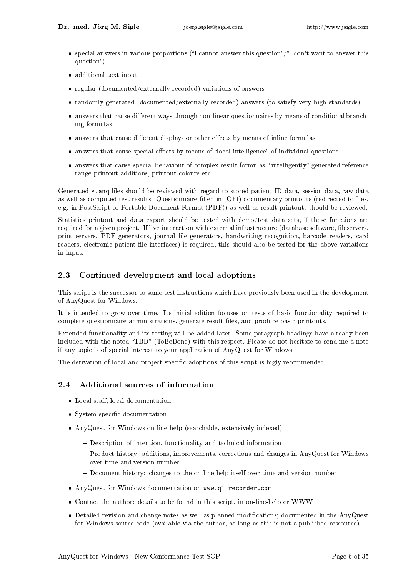- $\bullet$  special answers in various proportions ("I cannot answer this question"/"I don't want to answer this question")
- additional text input
- regular (documented/externally recorded) variations of answers
- randomly generated (documented/externally recorded) answers (to satisfy very high standards)
- $\bullet$  answers that cause different ways through non-linear questionnaires by means of conditional branching formulas
- $\bullet$  answers that cause different displays or other effects by means of inline formulas
- $\bullet$  answers that cause special effects by means of "local intelligence" of individual questions
- answers that cause special behaviour of complex result formulas, "intelligently" generated reference range printout additions, printout colours etc.

Generated \*.anq files should be reviewed with regard to stored patient ID data, session data, raw data as well as computed test results. Questionnaire-filled-in (QFI) documentary printouts (redirected to files, e.g. in PostScript or Portable-Document-Format (PDF)) as well as result printouts should be reviewed.

Statistics printout and data export should be tested with demo/test data sets, if these functions are required for a given project. If live interaction with external infrastructure (database software, fileservers, print servers, PDF generators, journal file generators, handwriting recognition, barcode readers, card readers, electronic patient file interfaces) is required, this should also be tested for the above variations in input.

## 2.3 Continued development and local adoptions

This script is the successor to some test instructions which have previously been used in the development of AnyQuest for Windows.

It is intended to grow over time. Its initial edition focuses on tests of basic functionality required to complete questionnaire administrations, generate result files, and produce basic printouts.

Extended functionality and its testing will be added later. Some paragraph headings have already been included with the noted "TBD" (ToBeDone) with this respect. Please do not hesitate to send me a note if any topic is of special interest to your application of AnyQuest for Windows.

The derivation of local and project specific adoptions of this script is higly recommended.

## 2.4 Additional sources of information

- Local staff, local documentation
- System specific documentation
- AnyQuest for Windows on-line help (searchable, extensively indexed)
	- Description of intention, functionality and technical information
	- Product history: additions, improvements, corrections and changes in AnyQuest for Windows over time and version number
	- Document history: changes to the on-line-help itself over time and version number
- AnyQuest for Windows documentation on www.ql-recorder.com
- Contact the author: details to be found in this script, in on-line-help or WWW
- Detailed revision and change notes as well as planned modifications; documented in the AnyQuest for Windows source code (available via the author, as long as this is not a published ressource)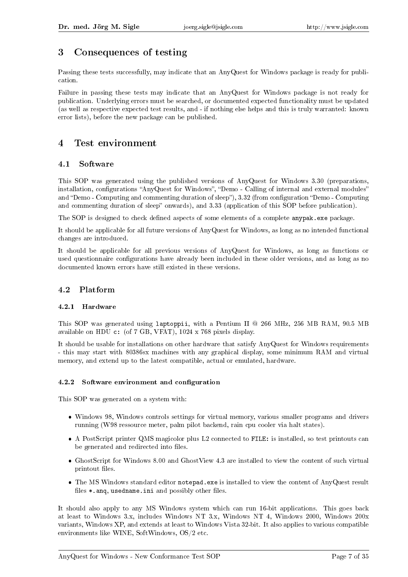# 3 Consequences of testing

Passing these tests successfully, may indicate that an AnyQuest for Windows package is ready for publication.

Failure in passing these tests may indicate that an AnyQuest for Windows package is not ready for publication. Underlying errors must be searched, or documented expected functionality must be updated (as well as respective expected test results, and - if nothing else helps and this is truly warranted: known error lists), before the new package can be published.

## 4 Test environment

### 4.1 Software

This SOP was generated using the published versions of AnyQuest for Windows 3.30 (preparations, installation, configurations "AnyQuest for Windows", "Demo - Calling of internal and external modules" and "Demo - Computing and commenting duration of sleep"), 3.32 (from configuration "Demo - Computing and commenting duration of sleep" onwards), and 3.33 (application of this SOP before publication).

The SOP is designed to check defined aspects of some elements of a complete anypak.exe package.

It should be applicable for all future versions of AnyQuest for Windows, as long as no intended functional changes are introduced.

It should be applicable for all previous versions of AnyQuest for Windows, as long as functions or used questionnaire configurations have already been included in these older versions, and as long as no documented known errors have still existed in these versions.

## 4.2 Platform

### 4.2.1 Hardware

This SOP was generated using laptoppii, with a Pentium II @ 266 MHz, 256 MB RAM, 90.5 MB available on HDU c: (of 7 GB, VFAT), 1024 x 768 pixels display.

It should be usable for installations on other hardware that satisfy AnyQuest for Windows requirements - this may start with 80386sx machines with any graphical display, some minimum RAM and virtual memory, and extend up to the latest compatible, actual or emulated, hardware.

#### 4.2.2 Software environment and configuration

This SOP was generated on a system with:

- Windows 98, Windows controls settings for virtual memory, various smaller programs and drivers running (W98 ressource meter, palm pilot backend, rain cpu cooler via halt states).
- A PostScript printer QMS magicolor plus L2 connected to FILE: is installed, so test printouts can be generated and redirected into files.
- GhostScript for Windows 8.00 and GhostView 4.3 are installed to view the content of such virtual printout files.
- The MS Windows standard editor notepad.exe is installed to view the content of AnyQuest result files  $*$ .anq, usedname.ini and possibly other files.

It should also apply to any MS Windows system which can run 16-bit applications. This goes back at least to Windows 3.x, includes Windows NT 3.x, Windows NT 4, Windows 2000, Windows 200x variants, Windows XP, and extends at least to Windows Vista 32-bit. It also applies to various compatible environments like WINE, SoftWindows, OS/2 etc.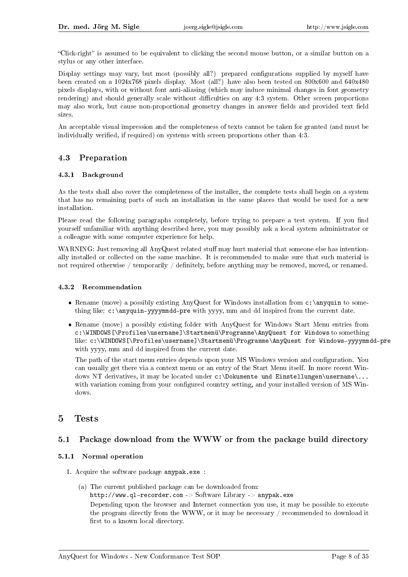"Click-right" is assumed to be equivalent to clicking the second mouse button, or a similar button on a stylus or any other interface.

Display settings may vary, but most (possibly all?) prepared configurations supplied by myself have been created on a 1024x768 pixels display. Most (all?) have also been tested on 800x600 and 640x480 pixels displays, with or without font anti-aliasing (which may induce minimal changes in font geometry rendering) and should generally scale without difficulties on any  $4:3$  system. Other screen proportions may also work, but cause non-proportional geometry changes in answer fields and provided text field sizes.

An acceptable visual impression and the completeness of texts cannot be taken for granted (and must be individually verified, if required) on systems with screen proportions other than 4:3.

### 4.3 Preparation

#### 4.3.1 Background

As the tests shall also cover the completeness of the installer, the complete tests shall begin on a system that has no remaining parts of such an installation in the same places that would be used for a new installation.

Please read the following paragraphs completely, before trying to prepare a test system. If you find yourself unfamiliar with anything described here, you may possibly ask a local system administrator or a colleague with some computer experience for help.

WARNING: Just removing all AnyQuest related stuff may hurt material that someone else has intentionally installed or collected on the same machine. It is recommended to make sure that such material is not required otherwise / temporarily / definitely, before anything may be removed, moved, or renamed.

#### 4.3.2 Recommendation

- Rename (move) a possibly existing AnyQuest for Windows installation from c:\anyquin to something like: c:\anyquin-yyyymmdd-pre with yyyy, mm and dd inspired from the current date.
- Rename (move) a possibly existing folder with AnyQuest for Windows Start Menu entries from c:\WINDOWS[\Profiles\username]\Startmenü\Programme\AnyQuest for Windows to something like: c:\WINDOWS[\Profiles\username]\Startmenü\Programme\AnyQuest for Windows-yyyymmdd-pre with yyyy, mm and dd inspired from the current date.

The path of the start menu entries depends upon your MS Windows version and configuration. You can usually get there via a context menu or an entry of the Start Menu itself. In more recent Windows NT derivatives, it may be located under c:\Dokumente und Einstellungen\username\... with variation coming from your configured country setting, and your installed version of MS Windows.

## 5 Tests

### 5.1 Package download from the WWW or from the package build directory

#### 5.1.1 Normal operation

- 1. Acquire the software package anypak.exe :
	- (a) The current published package can be downloaded from: http://www.ql-recorder.com -> Software Library -> anypak.exe Depending upon the browser and Internet connection you use, it may be possible to execute the program directly from the WWW, or it may be necessary / recommended to download it first to a known local directory.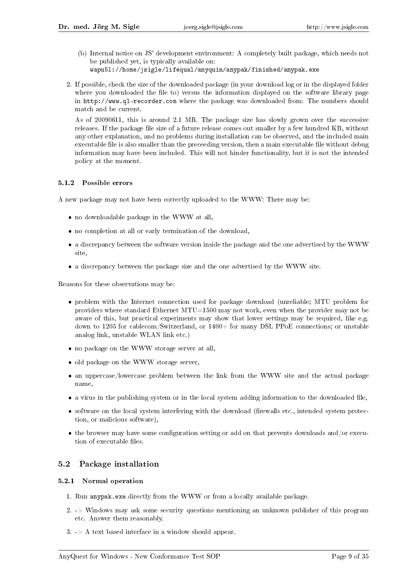- (b) Internal notice on JS' development environment: A completely built package, which needs not be published yet, is typically available on:
	- wapu5l://home/jsigle/lifequal/anyquin/anypak/finished/anypak.exe
- 2. If possible, check the size of the downloaded package (in your download log or in the displayed folder where you downloaded the file to) versus the information displayed on the software library page in http://www.ql-recorder.com where the package was downloaded from: The numbers should match and be current.

As of 20090611, this is around 2.1 MB. The package size has slowly grown over the successive releases. If the package file size of a future release comes out smaller by a few hundred KB, without any other explanation, and no problems during installation can be observed, and the included main executable file is also smaller than the preceeding version, then a main executable file without debug information may have been included. This will not hinder functionality, but it is not the intended policy at the moment.

#### 5.1.2 Possible errors

A new package may not have been correctly uploaded to the WWW: There may be:

- no downloadable package in the WWW at all,
- no completion at all or early termination of the download,
- a discrepancy between the software version inside the package and the one advertised by the WWW site,
- a discrepancy between the package size and the one advertised by the WWW site.

Reasons for these observations may be:

- problem with the Internet connection used for package download (unreliable; MTU problem for providers where standard Ethernet MTU=1500 may not work, even when the provider may not be aware of this, but practical experiments may show that lower settings may be required, like e.g. down to 1205 for cablecom/Switzerland, or  $1400+$  for many DSL PPoE connections; or unstable analog link, unstable WLAN link etc.)
- no package on the WWW storage server at all,
- old package on the WWW storage server,
- an uppercase/lowercase problem between the link from the WWW site and the actual package name,
- $\bullet$  a virus in the publishing system or in the local system adding information to the downloaded file,
- $\bullet$  software on the local system interfering with the download (firewalls etc., intended system protection, or malicious software),
- $\bullet$  the browser may have some configuration setting or add on that prevents downloads and/or execution of executable files.

#### 5.2 Package installation

#### 5.2.1 Normal operation

- 1. Run anypak.exe directly from the WWW or from a locally available package.
- 2. -> Windows may ask some security questions mentioning an unknown publisher of this program etc. Answer them reasonably.
- $3.$  -> A text based interface in a window should appear.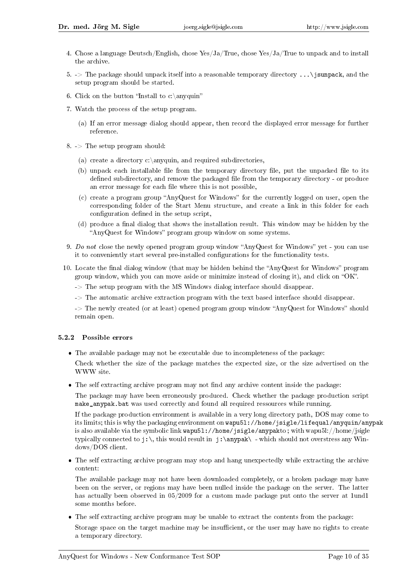- 4. Chose a language Deutsch/English, chose Yes/Ja/True, chose Yes/Ja/True to unpack and to install the archive.
- 5.  $\geq$  The package should unpack itself into a reasonable temporary directory ... \ isunpack, and the setup program should be started.
- 6. Click on the button "Install to c:\anyquin"
- 7. Watch the process of the setup program.
	- (a) If an error message dialog should appear, then record the displayed error message for further reference.
- $8.$  -> The setup program should:
	- (a) create a directory c: \anyquin, and required subdirectories,
	- (b) unpack each installable file from the temporary directory file, put the unpacked file to its defined subdirectory, and remove the packaged file from the temporary directory - or produce an error message for each file where this is not possible,
	- $(c)$  create a program group "AnyQuest for Windows" for the currently logged on user, open the corresponding folder of the Start Menu structure, and create a link in this folder for each configuration defined in the setup script,
	- $(d)$  produce a final dialog that shows the installation result. This window may be hidden by the "AnyQuest for Windows" program group window on some systems.
- 9. Do not close the newly opened program group window "AnyQuest for Windows" yet you can use it to conveniently start several pre-installed configurations for the functionality tests.
- 10. Locate the final dialog window (that may be hidden behind the "AnyQuest for Windows" program group window, which you can move aside or minimize instead of closing it), and click on "OK".
	- -> The setup program with the MS Windows dialog interface should disappear.
	- -> The automatic archive extraction program with the text based interface should disappear.

 $\rightarrow$  The newly created (or at least) opened program group window "AnyQuest for Windows" should remain open.

#### 5.2.2 Possible errors

The available package may not be executable due to incompleteness of the package:

Check whether the size of the package matches the expected size, or the size advertised on the WWW site.

• The self extracting archive program may not find any archive content inside the package:

The package may have been erroneously produced. Check whether the package production script make anypak.bat was used correctly and found all required ressources while running.

If the package production environment is available in a very long directory path, DOS may come to its limits; this is why the packaging environment on wapu5l://home/jsigle/lifequal/anyquin/anypak is also available via the symbolic link wapu5l://home/jsigle/anypakto ; with wapu5l://home/jsigle typically connected to  $j:\lambda$  this would result in  $j:\\any{pak\ - which should not overstress any Win$ dows/DOS client.

 The self extracting archive program may stop and hang unexpectedly while extracting the archive content:

The available package may not have been downloaded completely, or a broken package may have been on the server, or regions may have been nulled inside the package on the server. The latter has actually been observed in 05/2009 for a custom made package put onto the server at 1und1 some months before.

 The self extracting archive program may be unable to extract the contents from the package: Storage space on the target machine may be insufficient, or the user may have no rights to create a temporary directory.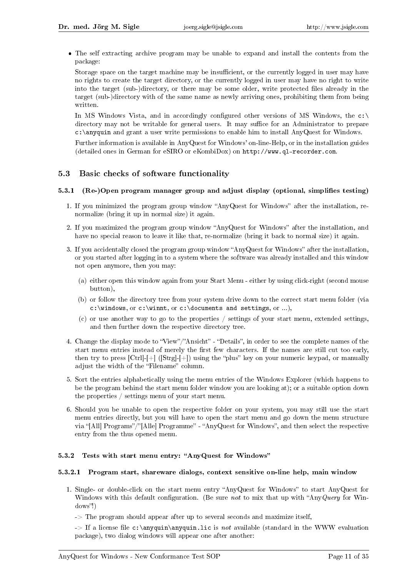The self extracting archive program may be unable to expand and install the contents from the package:

Storage space on the target machine may be insufficient, or the currently logged in user may have no rights to create the target directory, or the currently logged in user may have no right to write into the target (sub-)directory, or there may be some older, write protected files already in the target (sub-)directory with of the same name as newly arriving ones, prohibiting them from being written.

In MS Windows Vista, and in accordingly configured other versions of MS Windows, the  $c:\ \$ directory may not be writable for general users. It may suffice for an Administrator to prepare c:\anyquin and grant a user write permissions to enable him to install AnyQuest for Windows.

Further information is available in AnyQuest for Windows' on-line-Help, or in the installation guides (detailed ones in German for eSIRO or eKombiDox) on http://www.ql-recorder.com.

### 5.3 Basic checks of software functionality

#### 5.3.1 (Re-)Open program manager group and adjust display (optional, simplifies testing)

- 1. If you minimized the program group window "AnyQuest for Windows" after the installation, renormalize (bring it up in normal size) it again.
- 2. If you maximized the program group window "AnyQuest for Windows" after the installation, and have no special reason to leave it like that, re-normalize (bring it back to normal size) it again.
- 3. If you accidentally closed the program group window "AnyQuest for Windows" after the installation, or you started after logging in to a system where the software was already installed and this window not open anymore, then you may:
	- (a) either open this window again from your Start Menu either by using click-right (second mouse button),
	- (b) or follow the directory tree from your system drive down to the correct start menu folder (via c:\windows, or c:\winnt, or c:\documents and settings, or ...),
	- (c) or use another way to go to the properties / settings of your start menu, extended settings, and then further down the respective directory tree.
- 4. Change the display mode to "View"/"Ansicht" "Details", in order to see the complete names of the start menu entries instead of merely the first few characters. If the names are still cut too early, then try to press  $[Ctrl]-[+]$  ( $[Strg]-[+]$ ) using the "plus" key on your numeric keypad, or manually adjust the width of the "Filename" column.
- 5. Sort the entries alphabetically using the menu entries of the Windows Explorer (which happens to be the program behind the start menu folder window you are looking at); or a suitable option down the properties / settings menu of your start menu.
- 6. Should you be unable to open the respective folder on your system, you may still use the start menu entries directly, but you will have to open the start menu and go down the menu structure via "[All] Programs"/"[Alle] Programme" - "AnyQuest for Windows", and then select the respective entry from the thus opened menu.

#### 5.3.2 Tests with start menu entry: "AnyQuest for Windows"

#### 5.3.2.1 Program start, shareware dialogs, context sensitive on-line help, main window

- 1. Single- or double-click on the start menu entry "AnyQuest for Windows" to start AnyQuest for Windows with this default configuration. (Be sure not to mix that up with "Any Query for Win $dows'$ !)
	- $\rightarrow$  The program should appear after up to several seconds and maximize itself,
	- $\rightarrow$  If a license file c:\anyquin\anyquin.lic is not available (standard in the WWW evaluation package), two dialog windows will appear one after another: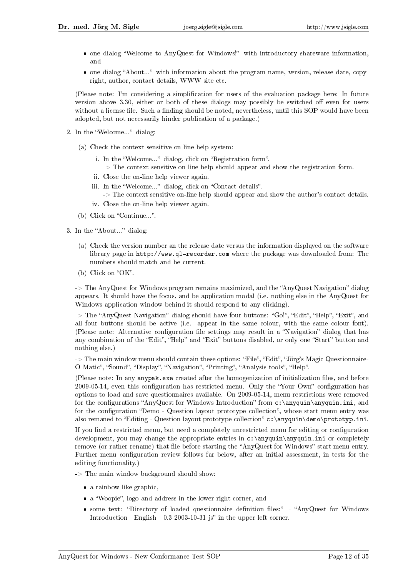- one dialog "Welcome to AnyQuest for Windows!" with introductory shareware information, and
- one dialog "About..." with information about the program name, version, release date, copyright, author, contact details, WWW site etc.

(Please note: I'm considering a simplication for users of the evaluation package here: In future version above 3.30, either or both of these dialogs may possibly be switched off even for users without a license file. Such a finding should be noted, nevertheless, until this SOP would have been adopted, but not necessarily hinder publication of a package.)

- 2. In the "Welcome..." dialog:
	- (a) Check the context sensitive on-line help system:
		- i. In the "Welcome..." dialog, click on "Registration form".
		- -> The context sensitive on-line help should appear and show the registration form.
		- ii. Close the on-line help viewer again.
		- iii. In the "Welcome..." dialog, click on "Contact details".
			- -> The context sensitive on-line help should appear and show the author's contact details.
		- iv. Close the on-line help viewer again.
	- (b) Click on "Continue...".
- 3. In the "About..." dialog:
	- (a) Check the version number an the release date versus the information displayed on the software library page in http://www.ql-recorder.com where the package was downloaded from: The numbers should match and be current.
	- (b) Click on "OK".

 $\sim$  The AnyQuest for Windows program remains maximized, and the "AnyQuest Navigation" dialog appears. It should have the focus, and be application modal (i.e. nothing else in the AnyQuest for Windows application window behind it should respond to any clicking).

 $\rightarrow$  The "AnyQuest Navigation" dialog should have four buttons: "Go!", "Edit", "Help", "Exit", and all four buttons should be active (i.e. appear in the same colour, with the same colour font). (Please note: Alternative configuration file settings may result in a "Navigation" dialog that has any combination of the "Edit", "Help" and "Exit" buttons disabled, or only one "Start" button and nothing else.)

 $\rightarrow$  The main window menu should contain these options: "File", "Edit", "Jörg's Magic Questionnaire-O-Matic", "Sound", "Display", "Navigation", "Printing", "Analysis tools", "Help".

(Please note: In any anypak.exe created after the homogenization of initialization files, and before 2009-05-14, even this configuration has restricted menu. Only the "Your Own" configuration has options to load and save questionnaires available. On 2009-05-14, menu restrictions were removed for the configurations "AnyQuest for Windows Introduction" from  $c:\\anyquin\,\anyquin$ .ini, and for the configuration "Demo - Question layout prototype collection", whose start menu entry was also remaned to "Editing - Question layout prototype collection" c:\anyquin\demo\prototyp.ini.

If you find a restricted menu, but need a completely unrestricted menu for editing or configuration development, you may change the appropriate entries in c: \anyquin\anyquin.ini or completely remove (or rather rename) that file before starting the "AnyQuest for Windows" start menu entry. Further menu configuration review follows far below, after an initial assessment, in tests for the editing functionality.)

-> The main window background should show:

- a rainbow-like graphic,
- a "Woopie", logo and address in the lower right corner, and
- some text: "Directory of loaded questionnaire definition files:" "AnyQuest for Windows Introduction English  $0.3\ 2003$ -10-31 js" in the upper left corner.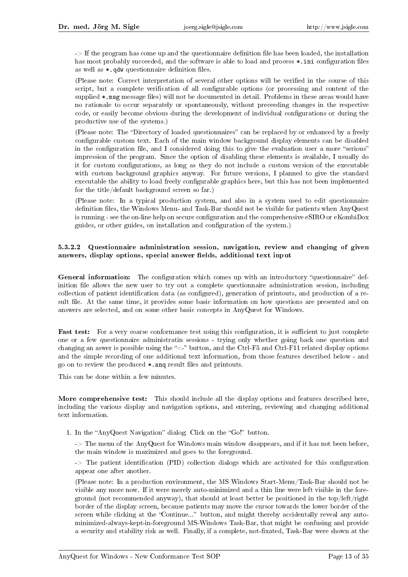$\rightarrow$  If the program has come up and the questionnaire definition file has been loaded, the installation has most probably succeeded, and the software is able to load and process  $\ast$ .ini configuration files as well as  $\ast$ . qdw questionnaire definition files.

(Please note: Correct interpretation of several other options will be veried in the course of this script, but a complete verification of all configurable options (or processing and content of the supplied \*.msg message files) will not be documented in detail. Problems in these areas would have no rationale to occur separately or spontaneously, without preceeding changes in the respective code, or easily become obvious during the development of individual configurations or during the productive use of the systems.)

(Please note: The "Directory of loaded questionnaires" can be replaced by or enhanced by a freely configurable custom text. Each of the main window background display elements can be disabled in the configuration file, and I considered doing this to give the evaluation user a more "serious" impression of the program. Since the option of disabling these elements is available, I usually do it for custom congurations, as long as they do not include a custom version of the executable with custom background graphics anyway. For future versions, I planned to give the standard executable the ability to load freely configurable graphics here, but this has not been implemented for the title/default background screen so far.)

(Please note: In a typical production system, and also in a system used to edit questionnaire definition files, the Windows Menu- and Task-Bar should not be visible for patients when AnyQuest is running - see the on-line help on secure configuration and the comprehensive eSIRO or eKombiDox guides, or other guides, on installation and configuration of the system.)

#### 5.3.2.2 Questionnaire administration session, navigation, review and changing of given answers, display options, special answer fields, additional text input

General information: The configuration which comes up with an introductory "questionnaire" definition file allows the new user to try out a complete questionnaire administration session, including collection of patient identification data (as configured), generation of printouts, and production of a result file. At the same time, it provides some basic information on how questions are presented and on answers are selected, and on some other basic concepts in AnyQuest for Windows.

Fast test: For a very coarse conformance test using this configuration, it is sufficient to just complete one or a few questionnaire administratin sessions - trying only whether going back one question and changing an aswer is possible using the " $\lt$ -" button, and the Ctrl-F5 and Ctrl-F11 related display options and the simple recording of one additional text information, from those features described below - and go on to review the produced \*.ang result files and printouts.

This can be done within a few minutes.

More comprehensive test: This should include all the display options and features described here, including the various display and navigation options, and entering, reviewing and changing additional text information.

1. In the "AnyQuest Navigation" dialog: Click on the "Go!" button.

-> The menu of the AnyQuest for Windows main window disappears, and if it has not been before, the main window is maximized and goes to the foreground.

 $\rightarrow$  The patient identification (PID) collection dialogs which are activated for this configuration appear one after another.

(Please note: In a production environment, the MS Windows Start-Menu/Task-Bar should not be visible any more now. If it were merely auto-minimized and a thin line were left visible in the foreground (not recommended anyway), that should at least better be positioned in the top/left/right border of the display screen, because patients may move the cursor towards the lower border of the screen while clicking at the "Continue..." button, and might thereby accidentally reveal any autominimized-always-kept-in-foreground MS-Windows Task-Bar, that might be confusing and provide a security and stability risk as well. Finally, if a complete, not-fixated, Task-Bar were shown at the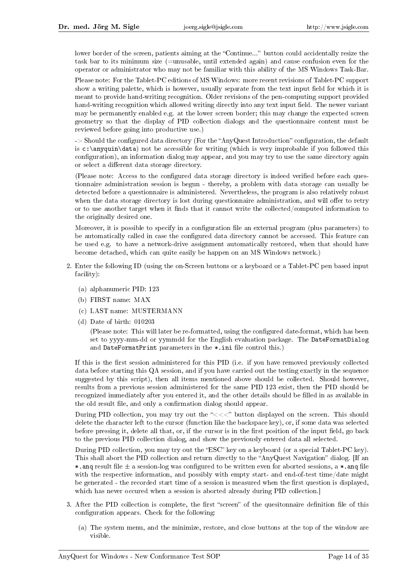lower border of the screen, patients aiming at the "Continue..." button could accidentally resize the task bar to its minimum size (=unusable, until extended again) and cause confusion even for the operator or administrator who may not be familiar with this ability of the MS Windows Task-Bar.

Please note: For the Tablet-PC editions of MS Windows: more recent revisions of Tablet-PC support show a writing palette, which is however, usually separate from the text input field for which it is meant to provide hand-writing recognition. Older revisions of the pen-computing support provided hand-writing recognition which allowed writing directly into any text input field. The newer variant may be permanently enabled e.g. at the lower screen border; this may change the expected screen geometry so that the display of PID collection dialogs and the questionnaire content must be reviewed before going into productive use.)

-> Should the configured data directory (For the "AnyQuest Introduction" configuration, the default is  $c:\anyquin\data)$  not be accessible for writing (which is very improbable if you followed this configuration), an information dialog may appear, and you may try to use the same directory again or select a different data storage directory.

(Please note: Access to the configured data storage directory is indeed verified before each questionnaire administration session is begun - thereby, a problem with data storage can usually be detected before a questionnaire is administered. Nevertheless, the program is also relatively robust when the data storage directory is lost during questionnaire administration, and will offer to retry or to use another target when it finds that it cannot write the collected/computed information to the originally desired one.

Moreover, it is possible to specify in a configuration file an external program (plus parameters) to be automatically called in case the configured data directory cannot be accessed. This feature can be used e.g. to have a network-drive assignment automatically restored, when that should have become detached, which can quite easily be happen on an MS Windows network.)

- 2. Enter the following ID (using the on-Screen buttons or a keyboard or a Tablet-PC pen based input facility):
	- (a) alphanumeric PID: 123
	- (b) FIRST name: MAX
	- (c) LAST name: MUSTERMANN
	- (d) Date of birth: 010203

(Please note: This will later be re-formatted, using the configured date-format, which has been set to yyyy-mm-dd or yymmdd for the English evaluation package. The DateFormatDialog and DateFormatPrint parameters in the  $\ast$ . ini file control this.)

If this is the first session administered for this PID (i.e. if you have removed previously collected data before starting this QA session, and if you have carried out the testing exactly in the sequence suggested by this script), then all items mentioned above should be collected. Should however, results from a previous session administered for the same PID 123 exist, then the PID should be recognized immediately after you entered it, and the other details should be filled in as available in the old result file, and only a confirmation dialog should appear.

During PID collection, you may try out the "<<<" button displayed on the screen. This should delete the character left to the cursor (function like the backspace key), or, if some data was selected before pressing it, delete all that, or, if the cursor is in the first position of the input field, go back to the previous PID collection dialog, and show the previously entered data all selected.

During PID collection, you may try out the "ESC" key on a keyboard (or a special Tablet-PC key). This shall abort the PID collection and return directly to the "AnyQuest Navigation" dialog. [If an \*.ang result file  $\pm$  a session-log was configured to be written even for aborted sessions, a \*.ang file with the respective information, and possibly with empty start- and end-of-test time/date might be generated - the recorded start time of a session is measured when the first question is displayed, which has never occured when a session is aborted already during PID collection.]

- 3. After the PID collection is complete, the first "screen" of the quesitonnaire definition file of this configuration appears. Check for the following:
	- (a) The system menu, and the minimize, restore, and close buttons at the top of the window are visible.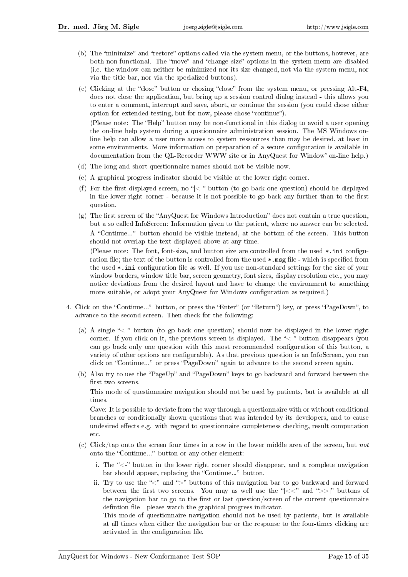- (b) The "minimize" and "restore" options called via the system menu, or the buttons, however, are both non-functional. The "move" and "change size" options in the system menu are disabled (i.e. the window can neither be minimized nor its size changed, not via the system menu, nor via the title bar, nor via the specialized buttons).
- (c) Clicking at the "close" button or chosing "close" from the system menu, or pressing  $Alt-F4$ , does not close the application, but bring up a session control dialog instead - this allows you to enter a comment, interrupt and save, abort, or continue the session (you could chose either option for extended testing, but for now, please chose "continue"). (Please note: The "Help" button may be non-functional in this dialog to avoid a user opening

the on-line help system during a qustionnaire administration session. The MS Windows online help can allow a user more access to system ressources than may be desired, at least in some environments. More information on preparation of a secure configuration is available in documentation from the QL-Recorder WWW site or in AnyQuest for Window' on-line help.)

- (d) The long and short questionnaire names should not be visible now.
- (e) A graphical progress indicator should be visible at the lower right corner.
- (f) For the first displayed screen, no " $\lt$ " button (to go back one question) should be displayed in the lower right corner - because it is not possible to go back any further than to the first question.
- (g) The first screen of the "AnyQuest for Windows Introduction" does not contain a true question, but a so called InfoScreen: Information given to the patient, where no answer can be selected. A "Continue..." button should be visible instead, at the bottom of the screen. This button should not overlap the text displayed above at any time.

(Please note: The font, font-size, and button size are controlled from the used  $\ast$ .ini configuration file; the text of the button is controlled from the used  $*$ . msg file - which is specified from the used \*.ini configuration file as well. If you use non-standard settings for the size of your window borders, window title bar, screen geometry, font sizes, display resolution etc., you may notice deviations from the desired layout and have to change the environment to something more suitable, or adopt your AnyQuest for Windows configuration as required.)

- 4. Click on the "Continue..." button, or press the "Enter" (or "Return") key, or press "PageDown", to advance to the second screen. Then check for the following:
	- (a) A single " $\lt$ -" button (to go back one question) should now be displayed in the lower right corner. If you click on it, the previous screen is displayed. The " $\lt$ -" button disappears (you can go back only one question with this most recommended configuration of this button, a variety of other options are configurable). As that previous question is an InfoScreen, you can click on "Continue..." or press "PageDown" again to advance to the second screen again.
	- (b) Also try to use the "PageUp" and "PageDown" keys to go backward and forward between the first two screens.

This mode of questionnaire navigation should not be used by patients, but is available at all times.

Cave: It is possible to deviate from the way through a questionnaire with or without conditional branches or conditionally shown questions that was intended by its developers, and to cause undesired effects e.g. with regard to questionnaire completeness checking, result computation etc.

- (c) Click/tap onto the screen four times in a row in the lower middle area of the screen, but not onto the "Continue..." button or any other element:
	- i. The " $\lt$ -" button in the lower right corner should disappear, and a complete navigation bar should appear, replacing the "Continue..." button.
	- ii. Try to use the " $\lt$ " and ">" buttons of this navigation bar to go backward and forward between the first two screens. You may as well use the " $\langle \langle \cdot \rangle$ " and " $\rangle$ " buttons of the navigation bar to go to the first or last question/screen of the current questionnaire defintion file - please watch the graphical progress indicator.

This mode of questionnaire navigation should not be used by patients, but is available at all times when either the navigation bar or the response to the four-times clicking are activated in the configuration file.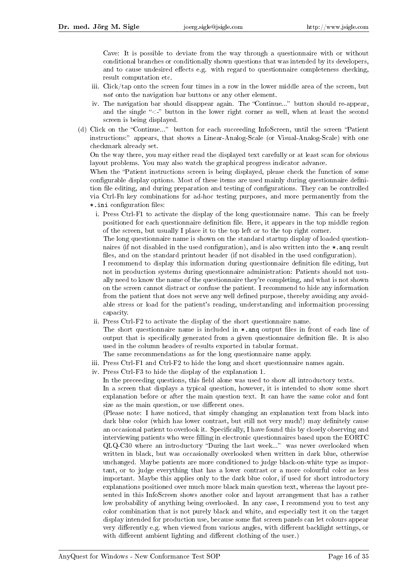Cave: It is possible to deviate from the way through a questionnaire with or without conditional branches or conditionally shown questions that was intended by its developers, and to cause undesired effects e.g. with regard to questionnaire completeness checking, result computation etc.

- iii. Click/tap onto the screen four times in a row in the lower middle area of the screen, but not onto the navigation bar buttons or any other element.
- iv. The navigation bar should disappear again. The "Continue..." button should re-appear, and the single " $\lt$ -" button in the lower right corner as well, when at least the second screen is being displayed.
- (d) Click on the "Continue..." button for each succeeding InfoScreen, until the screen "Patient instructions:" appears, that shows a Linear-Analog-Scale (or Visual-Analog-Scale) with one checkmark already set.

On the way there, you may either read the displayed text carefully or at least scan for obvious layout problems. You may also watch the graphical progress indicator advance.

When the "Patient instructions screen is being displayed, please check the function of some configurable display options. Most of these items are used mainly during questionnaire definition file editing, and during preparation and testing of configurations. They can be controlled via Ctrl-Fn key combinations for ad-hoc testing purposes, and more permanently from the \*.ini configuration files:

i. Press Ctrl-F1 to activate the display of the long questionnaire name. This can be freely positioned for each questionnaire denition le. Here, it appears in the top middle region of the screen, but usually I place it to the top left or to the top right corner.

The long questionnaire name is shown on the standard startup display of loaded questionnaires (if not disabled in the used configuration), and is also written into the  $\ast$  and result files, and on the standard printout header (if not disabled in the used configuration).

I recommend to display this information during questionnaire definition file editing, but not in production systems during questionnaire administration: Patients should not usually need to know the name of the questionnaire they're completing, and what is not shown on the screen cannot distract or confuse the patient. I recommend to hide any information from the patient that does not serve any well defined purpose, thereby avoiding any avoidable stress or load for the patient's reading, understanding and informaition processing capacity.

- ii. Press Ctrl-F2 to activate the display of the short questionnaire name.
- The short questionnaire name is included in  $\ast$ , and output files in front of each line of output that is specifically generated from a given questionnaire definition file. It is also used in the column headers of results exported in tabular format.

The same recommendations as for the long questionnaire name apply.

- iii. Press Ctrl-F1 and Ctrl-F2 to hide the long and short questionnaire names again.
- iv. Press Ctrl-F3 to hide the display of the explanation 1.

In the preceeding questions, this field alone was used to show all introductory texts. In a screen that displays a typical question, however, it is intended to show some short explanation before or after the main question text. It can have the same color and font size as the main question, or use different ones.

(Please note: I have noticed, that simply changing an explanation text from black into dark blue color (which has lower contrast, but still not very much!) may definitely cause an occasional patient to overlook it. Specifically, I have found this by closely observing and interviewing patients who were lling in electronic questionnaires based upon the EORTC QLQ-C30 where an introductory "During the last week..." was never overlooked when written in black, but was occasionally overlooked when written in dark blue, otherwise unchanged. Maybe patients are more conditioned to judge black-on-white type as important, or to judge everything that has a lower contrast or a more colourful color as less important. Maybe this applies only to the dark blue color, if used for short introductory explanations positioned over much more black main question text, whereas the layout presented in this InfoScreen shows another color and layout arrangement that has a rather low probability of anything being overlooked. In any case, I recommend you to test any color combination that is not purely black and white, and especially test it on the target display intended for production use, because some flat screen panels can let colours appear very differently e.g. when viewed from various angles, with different backlight settings, or with different ambient lighting and different clothing of the user.)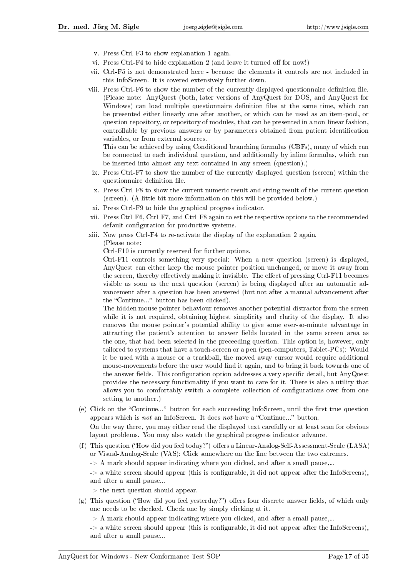- v. Press Ctrl-F3 to show explanation 1 again.
- vi. Press Ctrl-F4 to hide explanation 2 (and leave it turned off for now!)
- vii. Ctrl-F5 is not demonstrated here because the elements it controls are not included in this InfoScreen. It is covered extensively further down.
- viii. Press Ctrl-F6 to show the number of the currently displayed questionnaire definition file. (Please note: AnyQuest (both, later versions of AnyQuest for DOS, and AnyQuest for Windows) can load multiple questionnaire definition files at the same time, which can be presented either linearly one after another, or which can be used as an item-pool, or question-repository, or repository of modules, that can be presented in a non-linear fashion, controllable by previous answers or by parameters obtained from patient identification variables, or from external sources.

This can be achieved by using Conditional branching formulas (CBFs), many of which can be connected to each individual question, and additionally by inline formulas, which can be inserted into almost any text contained in any screen (question).)

- ix. Press Ctrl-F7 to show the number of the currently displayed question (screen) within the questionnaire definition file.
- x. Press Ctrl-F8 to show the current numeric result and string result of the current question (screen). (A little bit more information on this will be provided below.)
- xi. Press Ctrl-F9 to hide the graphical progress indicator.
- xii. Press Ctrl-F6, Ctrl-F7, and Ctrl-F8 again to set the respective options to the recommended default configuration for productive systems.
- xiii. Now press Ctrl-F4 to re-activate the display of the explanation 2 again.
	- (Please note:

Ctrl-F10 is currently reserved for further options.

Ctrl-F11 controls something very special: When a new question (screen) is displayed, AnyQuest can either keep the mouse pointer position unchanged, or move it away from the screen, thereby effectively making it invisible. The effect of pressing Ctrl-F11 becomes visible as soon as the next question (screen) is being displayed after an automatic advancement after a question has been answered (but not after a manual advancement after the "Continue..." button has been clicked).

The hidden mouse pointer behaviour removes another potential distractor from the screen while it is not required, obtaining highest simplicity and clarity of the display. It also removes the mouse pointer's potential ability to give some ever-so-minute advantage in attracting the patient's attention to answer elds located in the same screen area as the one, that had been selected in the preceeding question. This option is, however, only tailored to systems that have a touch-screen or a pen (pen-computers, Tablet-PCs): Would it be used with a mouse or a trackball, the moved away cursor would require additional mouse-movements before the user would find it again, and to bring it back towards one of the answer fields. This configuration option addresses a very specific detail, but AnyQuest provides the necessary functionality if you want to care for it. There is also a utility that allows you to comfortably switch a complete collection of congurations over from one setting to another.)

- (e) Click on the "Continue..." button for each succeeding InfoScreen, until the first true question appears which is *not* an InfoScreen. It does *not* have a "Continue..." button. On the way there, you may either read the displayed text carefully or at least scan for obvious layout problems. You may also watch the graphical progress indicator advance.
- (f) This question ("How did you feel today?") offers a Linear-Analog-Self-Assessment-Scale (LASA) or Visual-Analog-Scale (VAS): Click somewhere on the line between the two extremes.
	- $\geq$  A mark should appear indicating where you clicked, and after a small pause,...

 $\rightarrow$  a white screen should appear (this is configurable, it did not appear after the InfoScreens), and after a small pause...

- -> the next question should appear.
- $(g)$  This question ("How did you feel yesterday?") offers four discrete answer fields, of which only one needs to be checked. Check one by simply clicking at it.
	- $\rightarrow$  A mark should appear indicating where you clicked, and after a small pause,...

 $\geq$  a white screen should appear (this is configurable, it did not appear after the InfoScreens), and after a small pause...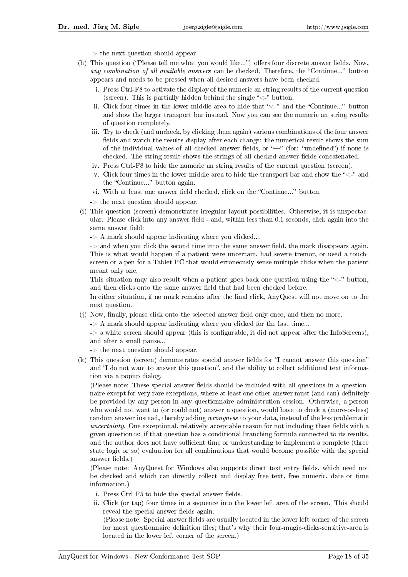- -> the next question should appear.
- (h) This question ("Please tell me what you would like...") offers four discrete answer fields. Now, any combination of all available answers can be checked. Therefore, the "Continue..." button appears and needs to be pressed when all desired answers have been checked.
	- i. Press Ctrl-F8 to activate the display of the numeric an string results of the current question (screen). This is partially hidden behind the single " $\lt$ -" button.
	- ii. Click four times in the lower middle area to hide that " $\lt$ -" and the "Continue..." button and show the larger transport bar instead. Now you can see the numeric an string results of question completely.
	- iii. Try to check (and uncheck, by clicking them again) various combinations of the four answer fields and watch the results display after each change: the numerical result shows the sum of the individual values of all checked answer fields, or  $\frac{m}{n}$  (for: "undefined") if none is checked. The string result shows the strings of all checked answer fields concatenated.
	- iv. Press Ctrl-F8 to hide the numeric an string results of the current question (screen).
	- v. Click four times in the lower middle area to hide the transport bar and show the " $\lt$ -" and the "Continue..." button again.
	- vi. With at least one answer field checked, click on the "Continue..." button.
	- -> the next question should appear.
- (i) This question (screen) demonstrates irregular layout possibilities. Otherwise, it is unspectacular. Please click into any answer field - and, within less than 0.1 seconds, click again into the same answer field:
	- $-$  A mark should appear indicating where you clicked,...

 $\rightarrow$  and when you click the second time into the same answer field, the mark disappears again. This is what would happen if a patient were uncertain, had severe tremor, or used a touchscreen or a pen for a Tablet-PC that would erroneously sense multiple clicks when the patient meant only one.

This situation may also result when a patient goes back one question using the " $\lt$ -" button, and then clicks onto the same answer field that had been checked before.

In either situation, if no mark remains after the final click, AnyQuest will not move on to the next question.

- (j) Now, finally, please click onto the selected answer field only once, and then no more.
	- $\rightarrow$  A mark should appear indicating where you clicked for the last time...
	- $\rightarrow$  a white screen should appear (this is configurable, it did not appear after the InfoScreens), and after a small pause...
	- -> the next question should appear.
- $(k)$  This question (screen) demonstrates special answer fields for "I cannot answer this question" and "I do not want to answer this question", and the ability to collect additional text information via a popup dialog.

(Please note: These special answer fields should be included with all questions in a questionnaire except for very rare exceptions, where at least one other answer must (and can) definitely be provided by any person in any questionnaire administration session. Otherwise, a person who would not want to (or could not) answer a question, would have to check a (more-or-less) random answer instead, thereby adding wrongness to your data, instead of the less problematic uncertainty. One exceptional, relatively acceptable reason for not including these fields with a given question is: if that question has a conditional branching formula connected to its results, and the author does not have sufficient time or understanding to implement a complete (three state logic or so) evaluation for all combinations that would become possible with the special answer fields.)

(Please note: AnyQuest for Windows also supports direct text entry fields, which need not be checked and which can directly collect and display free text, free numeric, date or time information.)

- i. Press Ctrl-F<sub>5</sub> to hide the special answer fields.
- ii. Click (or tap) four times in a sequence into the lower left area of the screen. This should reveal the special answer fields again.

(Please note: Special answer fields are usually located in the lower left corner of the screen for most questionnaire definition files; that's why their four-magic-clicks-sensitive-area is located in the lower left corner of the screen.)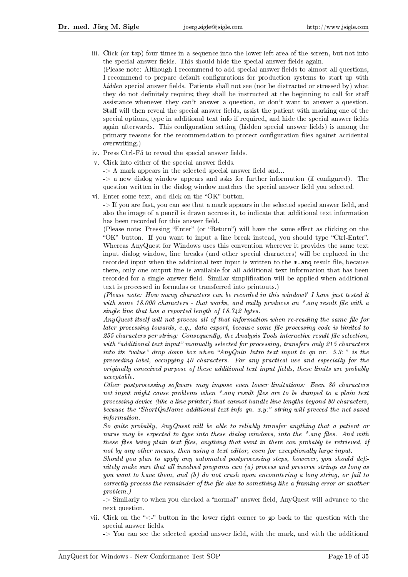iii. Click (or tap) four times in a sequence into the lower left area of the screen, but not into the special answer fields. This should hide the special answer fields again.

(Please note: Although I recommend to add special answer fields to almost all questions, I recommend to prepare default congurations for production systems to start up with hidden special answer fields. Patients shall not see (nor be distracted or stressed by) what they do not definitely require; they shall be instructed at the beginning to call for staff assistance whenever they can't answer a question, or don't want to answer a question. Staff will then reveal the special answer fields, assist the patient with marking one of the special options, type in additional text info if required, and hide the special answer fields again afterwards. This configuration setting (hidden special answer fields) is among the primary reasons for the recommendation to protect conguration les against accidental overwriting.)

- iv. Press Ctrl-F5 to reveal the special answer fields.
- v. Click into either of the special answer fields.
	- $-$  A mark appears in the selected special answer field and...

 $\rightarrow$  a new dialog window appears and asks for further information (if configured). The question written in the dialog window matches the special answer field you selected.

vi. Enter some text, and click on the "OK" button.

-> If you are fast, you can see that a mark appears in the selected special answer field, and also the image of a pencil is drawn accross it, to indicate that additional text information has been recorded for this answer field.

(Please note: Pressing "Enter" (or "Return") will have the same effect as clicking on the "OK" button. If you want to input a line break instead, you should type "Ctrl-Enter". Whereas AnyQuest for Windows uses this convention wherever it provides the same text input dialog window, line breaks (and other special characters) will be replaced in the recorded input when the additional text input is written to the  $\ast$ , and result file, because there, only one output line is available for all additional text information that has been recorded for a single answer field. Similar simplification will be applied when additional text is processed in formulas or transferred into printouts.)

(Please note: How many characters can be recorded in this window? I have just tested it with some  $18.000$  characters - that works, and really produces an \*.ang result file with a single line that has a reported length of 18.742 bytes.

 $Any Quest\ itself\ will\ not\ process\ all\ of\ that\ information\ when\ re-reading\ the\ same\ file\ for$  $later processing towards, e.g., data export, because some file processing code is limited to$  $255$  characters per string: Consequently, the Analysis Tools interactive result file selection, with "additional text input" manually selected for processing, transfers only 215 characters into its "value" drop down box when "AnyQuin Intro text input to qn nr. 5.3:" is the preceeding label, occupying 40 characters. For any practical use and especially for the originally conceived purpose of these additional text input fields, these limits are probably acceptable.

Other postprocessing software may impose even lower limitations: Even 80 characters net input might cause problems when  $*$  ang result files are to be dumped to a plain text processing device (like a line printer) that cannot handle line lengths beyond 80 characters, because the "ShortQnName additional text info qn.  $x,y$ " string will preceed the net saved information.

So quite probably, AnyQuest will be able to reliably transfer anything that a patient or nurse may be expected to type into these dialog windows, into the  $*$  ang files. And with these files being plain text files, anything that went in there can probably be retrieved, if not by any other means, then using a text editor, even for exceptionally large input.

 $Should you plan to apply any automated postprocessing steps, however, you should define.$ nitely make sure that all involved programs can (a) process and preserve strings as long as you want to have them, and (b) do not crash upon encountering a long string, or fail to correctly process the remainder of the file due to something like a framing error or another problem.)

-> Similarly to when you checked a "normal" answer field, AnyQuest will advance to the next question.

- vii. Click on the  $\ll -1$  button in the lower right corner to go back to the question with the special answer fields.
	- $\rightarrow$  You can see the selected special answer field, with the mark, and with the additional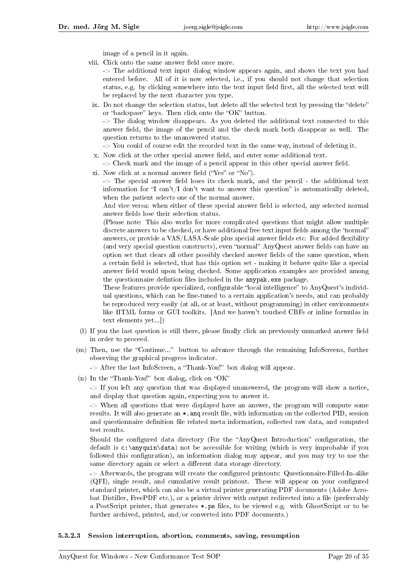image of a pencil in it again.

viii. Click onto the same answer field once more.

-> The additional text input dialog window appears again, and shows the text you had entered before. All of it is now selected, i.e., if you should not change that selection status, e.g. by clicking somewhere into the text input field first, all the selected text will be replaced by the next character you type.

ix. Do not change the selection status, but delete all the selected text by pressing the "delete" or "backspace" keys. Then click onto the "OK" button.

-> The dialog window disappears. As you deleted the additional text connected to this answer field, the image of the pencil and the check mark both disappear as well. The question returns to the unanswered status.

-> You could of course edit the recorded text in the same way, instead of deleting it.

x. Now click at the other special answer field, and enter some additional text.

 $\geq$  Check mark and the image of a pencil appear in this other special answer field.

xi. Now click at a normal answer field  $($ "Yes" or "No").

 $\rightarrow$  The special answer field loses its check mark, and the pencil - the additional text information for "I can't  $/I$  don't want to answer this question" is automatically deleted, when the patient selects one of the normal answer.

And vice versa: when either of these special answer field is selected, any selected normal answer fields lose their selection status.

(Please note: This also works for more complicated questions that might allow multiple discrete answers to be checked, or have additional free text input fields among the "normal" answers, or provide a VAS/LASA-Scale plus special answer fields etc. For added flexibility (and very special question constructs), even "normal" AnyQuest answer fields can have an option set that clears all other possibly checked answer fields of the same question, when a certain field is selected, that has this option set - making it behave quite like a special answer field would upon being checked. Some application examples are provided among the questionnaire defintion files included in the anypak.exe package.

These features provide specialized, configurable "local intelligence" to AnyQuest's individual questions, which can be fine-tuned to a certain application's needs, and can probably be reproduced very easily (at all, or at least, without programming) in other environments like HTML forms or GUI toolkits. [And we haven't touched CBFs or inline formulas in text elements yet...])

- (l) If you the last question is still there, please finally click an previously unmarked answer field in order to proceed.
- (m) Then, use the Continue... button to advance through the remaining InfoScreens, further observing the graphical progress indicator.

 $\rightarrow$  After the last InfoScreen, a "Thank-You!" box dialog will appear.

(n) In the "Thank-You!" box dialog, click on "OK"

-> If you left any question that was displayed unanswered, the program will show a notice, and display that question again, expecting you to answer it.

-> When all questions that were displayed have an answer, the program will compute some results. It will also generate an  $\ast$  and result file, with information on the collected PID, session and questionnaire definition file related meta information, collected raw data, and computed test results.

Should the configured data directory (For the "AnyQuest Introduction" configuration, the default is c:\anyquin\data) not be accessible for writing (which is very improbable if you followed this configuration), an information dialog may appear, and you may try to use the same directory again or select a different data storage directory.

-> Afterwards, the program will create the configured printouts: Questionnaire-Filled-In-alike (QFI), single result, and cumulative result printout. These will appear on your configured standard printer, which can also be a virtual printer generating PDF documents (Adobe Acrobat Distiller, FreePDF etc.), or a printer driver with output redirected into a file (preferrably a PostScript printer, that generates \*.ps files, to be viewed e.g. with GhostScript or to be further archived, printed, and/or converted into PDF documents.)

#### 5.3.2.3 Session interruption, abortion, comments, saving, resumption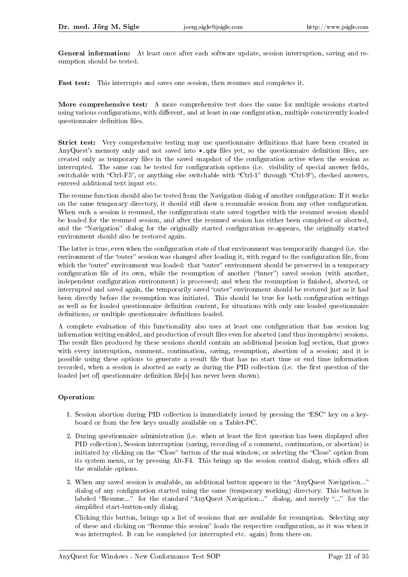General information: At least once after each software update, session interruption, saving and resumption should be tested.

Fast test: This interrupts and saves one session, then resumes and completes it.

More comprehensive test: A more comprehensive test does the same for multiple sessions started using various configurations, with different, and at least in one configuration, multiple concurrently loaded questionnaire definition files.

Strict test: Very comprehensive testing may use questionnaire definitions that have been created in AnyQuest's memory only and not saved into \*.qdw files yet, so the questionnaire definition files, are created only as temporary files in the saved snapshot of the configuration active when the session as interrupted. The same can be tested for configuration options (i.e. visibility of special answer fields, switchable with "Ctrl-F5", or anything else switchable with "Ctrl-1" through "Ctrl-9"), checked answers, entered additional text input etc.

The resume function should also be tested from the Navigation dialog of another configuration: If it works on the same temporary directory, it should still show a resumable session from any other conguration. When such a session is resumed, the configuration state saved together with the resumed session should be loaded for the resumed session, and after the resumed session has either been completed or aborted, and the "Navigation" dialog for the originally started configuration re-appears, the originally started environment should also be restored again.

The latter is true, even when the configuration state of that environment was temporarily changed (i.e. the environment of the "outer" session was changed after loading it, with regard to the configuration file, from which the "outer" environment was loaded: that "outer" environment should be preserved in a temporary configuration file of its own, while the resumption of another ("inner") saved session (with another, independent configuration environment) is processed; and when the resumption is finished, aborted, or interrupted and saved again, the temporarily saved "outer" environment should be restored just as it had been directly before the resumption was initiated. This should be true for both configuration settings as well as for loaded questionnaire definition content, for situations with only one loaded questionnaire definitions, or multiple questionnaire definitions loaded.

A complete evaluation of this functionality also uses at least one configuration that has session log information writing enabled, and production of result files even for aborted (and thus incomplete) sessions. The result files produced by these sessions should contain an additional [session log] section, that grows with every interruption, comment, continuation, saving, resumption, abortion of a session; and it is possible using these options to generate a result file that has no start time or end time information recorded, when a session is aborted as early as during the PID collection (i.e. the first question of the loaded [set of] questionnaire definition file[s] has never been shown).

#### Operation:

- 1. Session abortion during PID collection is immediately issued by pressing the "ESC" key on a keyboard or from the few keys usually available on a Tablet-PC.
- 2. During questionnaire administration (i.e. when at least the first question has been displayed after PID collection), Session interruption (saving, recording of a comment, continuation, or abortion) is initiated by clicking on the "Close" button of the mai window, or selecting the "Close" option from its system menu, or by pressing Alt-F4. This brings up the session control dialog, which offers all the available options.
- 3. When any saved session is available, an additional button appears in the "AnyQuest Navigation..." dialog of any configuration started using the same (temporary working) directory. This button is labeled "Resume..." for the standard "AnyQuest Navigation..." dialog, and merely "..." for the simplified start-button-only dialog.

Clicking this button, brings up a list of sessions that are available for resumption. Selecting any of these and clicking on "Resume this session" loads the respective configuration, as it was when it was interrupted. It can be completed (or interrupted etc. again) from there on.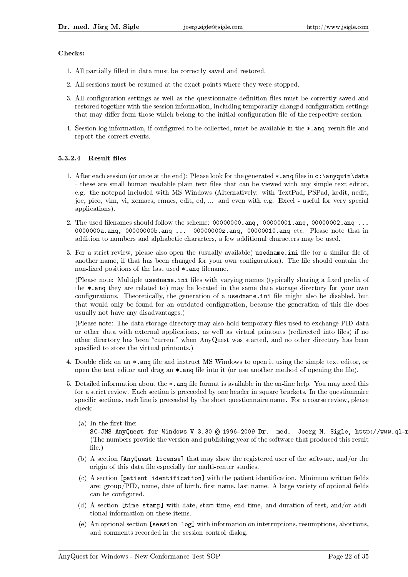#### Checks:

- 1. All partially filled in data must be correctly saved and restored.
- 2. All sessions must be resumed at the exact points where they were stopped.
- 3. All configuration settings as well as the questionnaire definition files must be correctly saved and restored together with the session information, including temporarily changed configuration settings that may differ from those which belong to the initial configuration file of the respective session.
- 4. Session log information, if configured to be collected, must be available in the  $\ast$  and result file and report the correct events.

#### $5.3.2.4$  Result files

- 1. After each session (or once at the end): Please look for the generated  $*$  and files in c: \anyquin\data - these are small human readable plain text files that can be viewed with any simple text editor, e.g. the notepad included with MS Windows (Alternatively: with TextPad, PSPad, kedit, nedit, joe, pico, vim, vi, xemacs, emacs, edit, ed, ... and even with e.g. Excel - useful for very special applications).
- 2. The used filenames should follow the scheme:  $00000000$ .ang,  $00000001$ .ang,  $00000002$ .ang ... 0000000a.anq, 00000000b.anq ... 00000000z.anq, 00000010.anq etc. Please note that in addition to numbers and alphabetic characters, a few additional characters may be used.
- 3. For a strict review, please also open the (usually available) usedname.ini file (or a similar file of another name, if that has been changed for your own configuration). The file should contain the non-fixed positions of the last used \*.ang filename.

(Please note: Multiple usedname.ini files with varying names (typically sharing a fixed prefix of the \*.anq they are related to) may be located in the same data storage directory for your own configurations. Theoretically, the generation of a usedname.ini file might also be disabled, but that would only be found for an outdated configuration, because the generation of this file does usually not have any disadvantages.)

(Please note: The data storage directory may also hold temporary files used to exchange PID data or other data with external applications, as well as virtual printouts (redirected into files) if no other directory has been "current" when AnyQuest was started, and no other directory has been specified to store the virtual printouts.)

- 4. Double click on an  $\ast$  ang file and instruct MS Windows to open it using the simple text editor, or open the text editor and drag an  $*$ . and file into it (or use another method of opening the file).
- 5. Detailed information about the  $\ast$  ang file format is available in the on-line help. You may need this for a strict review. Each section is preceeded by one header in square brackets. In the questionnaire specific sections, each line is preceeded by the short questionnaire name. For a coarse review, please check:
	- $(a)$  In the first line:
		- SC-JMS AnyQuest for Windows V 3.30 @ 1996-2009 Dr. med. Joerg M. Sigle, http://www.ql-1 (The numbers provide the version and publishing year of the software that produced this result file.)
	- (b) A section [AnyQuest license] that may show the registered user of the software, and/or the origin of this data file especially for multi-center studies.
	- $(c)$  A section [patient identification] with the patient identification. Minimum written fields are:  $group/PID$ , name, date of birth, first name, last name. A large variety of optional fields can be configured.
	- (d) A section [time stamp] with date, start time, end time, and duration of test, and/or additional information on these items.
	- (e) An optional section [session log] with information on interruptions, resumptions, abortions, and comments recorded in the session control dialog.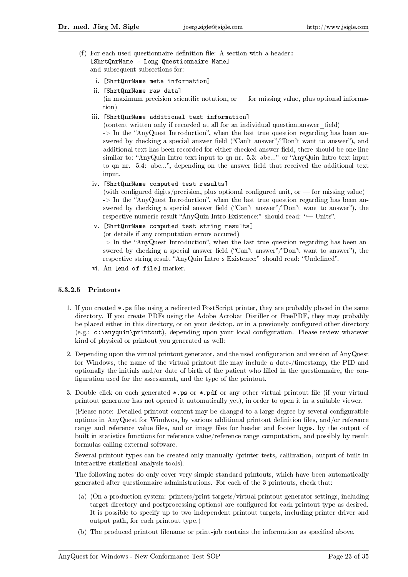(f) For each used questionnaire definition file: A section with a header: [ShrtQnrName = Long Questionnaire Name] and subsequent subsections for:

i. [ShrtQnrName meta information]

ii. [ShrtQnrName raw data]

(in maximum precision scientific notation, or  $-$  for missing value, plus optional information)

iii. [ShrtQnrName additional text information]

 $($  content written only if recorded at all for an individual question.answer field)  $\rightarrow$  In the "AnyQuest Introduction", when the last true question regarding has been answered by checking a special answer field ("Can't answer"/"Don't want to answer"), and additional text has been recorded for either checked answer field, there should be one line similar to: "AnyQuin Intro text input to qn nr. 5.3: abc..." or "AnyQuin Intro text input to qn nr.  $5.4$ : abc...", depending on the answer field that received the additional text input.

iv. [ShrtQnrName computed test results]

(with configured digits/precision, plus optional configured unit, or  $-$  for missing value)  $\Rightarrow$  In the "AnyQuest Introduction", when the last true question regarding has been answered by checking a special answer field ("Can't answer"/"Don't want to answer"), the respective numeric result "AnyQuin Intro Existence:" should read: " $-$  Units".

- v. [ShrtQnrName computed test string results] (or details if any computation errors occured)  $\rightarrow$  In the "AnyQuest Introduction", when the last true question regarding has been answered by checking a special answer field ("Can't answer"/"Don't want to answer"), the respective string result "AnyQuin Intro s Existence:" should read: "Undefined".
- vi. An [end of file] marker.

#### 5.3.2.5 Printouts

- 1. If you created \*.ps files using a redirected PostScript printer, they are probably placed in the same directory. If you create PDFs using the Adobe Acrobat Distiller or FreePDF, they may probably be placed either in this directory, or on your desktop, or in a previously configured other directory  $(e.g.: c:\an\quin\print\,, depending upon your local configuration. Please review whatever$ kind of physical or printout you generated as well:
- 2. Depending upon the virtual printout generator, and the used configuration and version of AnyQuest for Windows, the name of the virtual printout file may include a date-/timestamp, the PID and optionally the initials and/or date of birth of the patient who filled in the questionnaire, the configuration used for the assessment, and the type of the printout.
- 3. Double click on each generated  $*, \mathsf{ps}$  or  $*, \mathsf{pdf}$  or any other virtual printout file (if your virtual printout generator has not opened it automatically yet), in order to open it in a suitable viewer.

(Please note: Detailed printout content may be changed to a large degree by several configuratble options in AnyQuest for Windwos, by various additional printout denition les, and/or reference range and reference value files, and or image files for header and footer logos, by the output of built in statistics functions for reference value/reference range computation, and possibly by result formulas calling external software.

Several printout types can be created only manually (printer tests, calibration, output of built in interactive statistical analysis tools).

The following notes do only cover very simple standard printouts, which have been automatically generated after questionnaire administrations. For each of the 3 printouts, check that:

- (a) (On a production system: printers/print targets/virtual printout generator settings, including target directory and postprocessing options) are configured for each printout type as desired. It is possible to specify up to two independent printout targets, including printer driver and output path, for each printout type.)
- (b) The produced printout filename or print-job contains the information as specified above.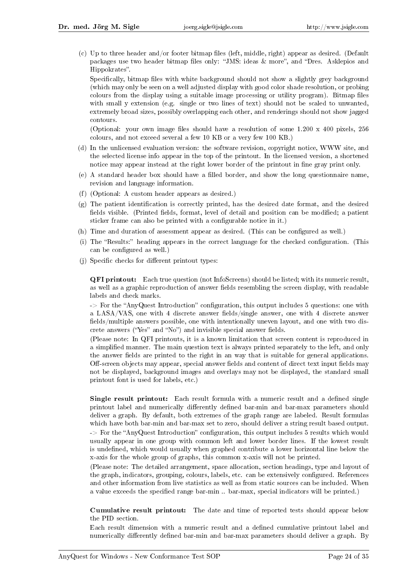$(c)$  Up to three header and/or footer bitmap files (left, middle, right) appear as desired. (Default packages use two header bitmap files only: "JMS: ideas & more", and "Dres. Asklepios and Hippokrates".

Specifically, bitmap files with white background should not show a slightly grey background (which may only be seen on a well adjusted display with good color shade resolution, or probing colours from the display using a suitable image processing or utility program). Bitmap files with small y extension (e.g. single or two lines of text) should not be scaled to unwanted, extremely broad sizes, possibly overlapping each other, and renderings should not show jagged contours.

(Optional: your own image files should have a resolution of some  $1.200 \times 400$  pixels,  $256$ colours, and not exceed several a few 10 KB or a very few 100 KB.)

- (d) In the unlicensed evaluation version: the software revision, copyright notice, WWW site, and the selected license info appear in the top of the printout. In the licensed version, a shortened notice may appear instead at the right lower border of the printout in fine gray print only.
- $(e)$  A standard header box should have a filled border, and show the long questionnaire name, revision and language information.
- (f) (Optional: A custom header appears as desired.)
- (g) The patient identification is correctly printed, has the desired date format, and the desired fields visible. (Printed fields, format, level of detail and position can be modified; a patient sticker frame can also be printed with a configurable notice in it.)
- (h) Time and duration of assessment appear as desired. (This can be configured as well.)
- (i) The "Results:" heading appears in the correct language for the checked configuration. (This can be configured as well.)
- (j) Specific checks for different printout types:

QFI printout: Each true question (not InfoScreens) should be listed; with its numeric result, as well as a graphic reproduction of answer fields resembling the screen display, with readable labels and check marks.

 $\rightarrow$  For the "AnyQuest Introduction" configuration, this output includes 5 questions: one with a LASA/VAS, one with 4 discrete answer fields/single answer, one with 4 discrete answer fields/multiple answers possible, one with intentionally uneven layout, and one with two discrete answers ("Yes" and "No") and invisible special answer fields.

(Please note: In QFI printouts, it is a known limitation that screen content is reproduced in a simplied manner. The main question text is always printed separately to the left, and only the answer fields are printed to the right in an way that is suitable for general applications. Off-screen objects may appear, special answer fields and content of direct text input fields may not be displayed, background images and overlays may not be displayed, the standard small printout font is used for labels, etc.)

Single result printout: Each result formula with a numeric result and a defined single printout label and numerically differently defined bar-min and bar-max parameters should deliver a graph. By default, both extremes of the graph range are labeled. Result formulas which have both bar-min and bar-max set to zero, should deliver a string result based output.

-> For the "AnyQuest Introduction" configuration, this output includes 5 results which would usually appear in one group with common left and lower border lines. If the lowest result is undefined, which would usually when graphed contribute a lower horizontal line below the x-axis for the whole group of graphs, this common x-axis will not be printed.

(Please note: The detailed arrangement, space allocation, section headings, type and layout of the graph, indicators, grouping, colours, labels, etc. can be extensively configured. References and other information from live statistics as well as from static sources can be included. When a value exceeds the specified range bar-min .. bar-max, special indicators will be printed.)

Cumulative result printout: The date and time of reported tests should appear below the PID section.

Each result dimension with a numeric result and a dened cumulative printout label and numerically differently defined bar-min and bar-max parameters should deliver a graph. By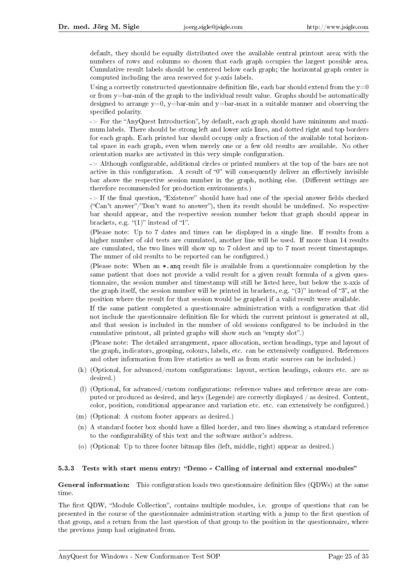default, they should be equally distributed over the available central printout area; with the numbers of rows and columns so chosen that each graph occupies the largest possible area. Cumulative result labels should be centered below each graph; the horizontal graph center is computed including the area reserved for y-axis labels.

Using a correctly constructed questionnaire definition file, each bar should extend from the  $y=0$ or from y=bar-min of the graph to the individual result value. Graphs should be automatically designed to arrange  $y=0$ ,  $y=bar-min$  and  $y=bar-max$  in a suitable manner and observing the specified polarity.

-> For the "AnyQuest Introduction", by default, each graph should have minimum and maximum labels. There should be strong left and lower axis lines, and dotted right and top borders for each graph. Each printed bar should occupy only a fraction of the available total horizontal space in each graph, even when merely one or a few old results are available. No other orientation marks are activated in this very simple configuration.

 $\rightarrow$  Although configurable, additional circles or printed numbers at the top of the bars are not active in this configuration. A result of " $0$ " will consequently deliver an effectively invisible bar above the respective session number in the graph, nothing else. (Different settings are therefore recommended for production environments.)

 $\rightarrow$  If the final question, "Existence" should have had one of the special answer fields checked  $("Can't answer")$  Don't want to answer"), then its result should be undefined. No respective bar should appear, and the respective session number below that graph should appear in brackets, e.g.  $\binom{1}{1}$  instead of  $\binom{1}{1}$ .

(Please note: Up to 7 dates and times can be displayed in a single line. If results from a higher number of old tests are cumulated, another line will be used. If more than 14 results are cumulated, the two lines will show up to 7 oldest and up to 7 most recent timestapmps. The numer of old results to be reported can be configured.)

(Please note: When an  $\ast$ , ang result file is available from a questionnaire completion by the same patient that does not provide a valid result for a given result formula of a given questionnaire, the session number and timestamp will still be listed here, but below the x-axis of the graph itself, the session number will be printed in brackets, e.g.  $\cdot$  (3)" instead of "3", at the position where the result for that session would be graphed if a valid result were available.

If the same patient completed a questionnaire administration with a conguration that did not include the questionnaire definition file for which the current printout is generated at all, and that session is included in the number of old sessions configured to be included in the cumulative printout, all printed graphs will show such an "empty slot".)

(Please note: The detailed arrangement, space allocation, section headings, type and layout of the graph, indicators, grouping, colours, labels, etc. can be extensively configured. References and other information from live statistics as well as from static sources can be included.)

- $(k)$  (Optional, for advanced/custom configurations: layout, section headings, colours etc. are as desired.)
- (l) (Optional, for advanced/custom congurations: reference values and reference areas are computed or produced as desired, and keys (Legende) are correctly displayed / as desired. Content, color, position, conditional appearance and variation etc. etc. can extensively be configured.)
- (m) (Optional: A custom footer appears as desired.)
- (n) A standard footer box should have a filled border, and two lines showing a standard reference to the configurability of this text and the software author's address.
- (o) (Optional: Up to three footer bitmap files (left, middle, right) appear as desired.)

#### 5.3.3 Tests with start menu entry: "Demo - Calling of internal and external modules"

General information: This configuration loads two questionnaire definition files (QDWs) at the same time.

The first QDW, "Module Collection", contains multiple modules, i.e. groups of questions that can be presented in the course of the questionnaire administration starting with a jump to the first question of that group, and a return from the last question of that group to the position in the questionnaire, where the previous jump had originated from.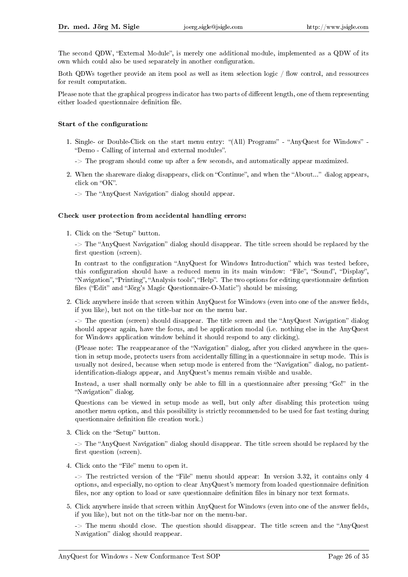The second QDW, "External Module", is merely one additional module, implemented as a QDW of its own which could also be used separately in another configuration.

Both QDWs together provide an item pool as well as item selection logic / flow control, and ressources for result computation.

Please note that the graphical progress indicator has two parts of different length, one of them representing either loaded questionnaire definition file.

#### Start of the configuration:

- 1. Single- or Double-Click on the start menu entry: "(All) Programs" "AnyQuest for Windows" -"Demo - Calling of internal and external modules".
	- -> The program should come up after a few seconds, and automatically appear maximized.
- 2. When the shareware dialog disappears, click on "Continue", and when the "About..." dialog appears, click on "OK".
	- $\Rightarrow$  The "AnyQuest Navigation" dialog should appear.

#### Check user protection from accidental handling errors:

1. Click on the "Setup" button.

 $\rightarrow$  The "AnyQuest Navigation" dialog should disappear. The title screen should be replaced by the first question (screen).

In contrast to the configuration "AnyQuest for Windows Introduction" which was tested before, this configuration should have a reduced menu in its main window: "File", "Sound", "Display", "Navigation", "Printing", "Analysis tools", "Help". The two options for editing questionnaire defintion files ("Edit" and "Jörg's Magic Questionnaire-O-Matic") should be missing.

2. Click anywhere inside that screen within AnyQuest for Windows (even into one of the answer fields, if you like), but not on the title-bar nor on the menu bar.

 $\rightarrow$  The question (screen) should disappear. The title screen and the "AnyQuest Navigation" dialog should appear again, have the focus, and be application modal (i.e. nothing else in the AnyQuest for Windows application window behind it should respond to any clicking).

(Please note: The reappearance of the "Navigation" dialog, after you clicked anywhere in the question in setup mode, protects users from accidentally filling in a questionnaire in setup mode. This is usually not desired, because when setup mode is entered from the "Navigation" dialog, no patientidentification-dialogs appear, and AnyQuest's menus remain visible and usable.

Instead, a user shall normally only be able to fill in a questionnaire after pressing "Go!" in the "Navigation" dialog.

Questions can be viewed in setup mode as well, but only after disabling this protection using another menu option, and this possibility is strictly recommended to be used for fast testing during questionnaire definition file creation work.)

3. Click on the "Setup" button.

 $\rightarrow$  The "AnyQuest Navigation" dialog should disappear. The title screen should be replaced by the first question (screen).

4. Click onto the "File" menu to open it.

 $\rightarrow$  The restricted version of the "File" menu should appear: In version 3.32, it contains only 4 options, and especially, no option to clear AnyQuest's memory from loaded questionnaire denition files, nor any option to load or save questionnaire definition files in binary nor text formats.

5. Click anywhere inside that screen within AnyQuest for Windows (even into one of the answer fields, if you like), but not on the title-bar nor on the menu-bar.

 $\rightarrow$  The menu should close. The question should disappear. The title screen and the "AnyQuest" Navigation" dialog should reappear.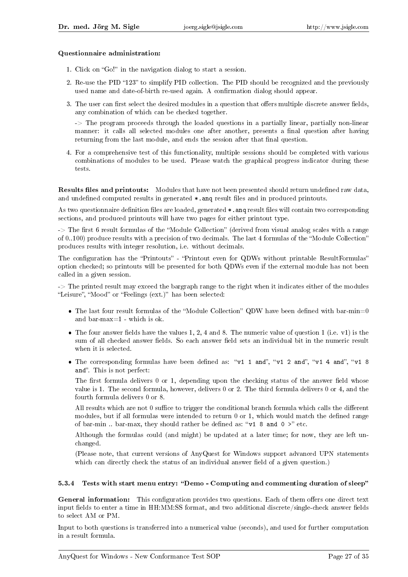#### Questionnaire administration:

- 1. Click on "Go!" in the navigation dialog to start a session.
- 2. Re-use the PID "123" to simplify PID collection. The PID should be recognized and the previously used name and date-of-birth re-used again. A confirmation dialog should appear.
- 3. The user can first select the desired modules in a question that offers multiple discrete answer fields, any combination of which can be checked together.

-> The program proceeds through the loaded questions in a partially linear, partially non-linear manner: it calls all selected modules one after another, presents a final question after having returning from the last module, and ends the session after that final question.

4. For a comprehensive test of this functionality, multiple sessions should be completed with various combinations of modules to be used. Please watch the graphical progress indicator during these tests.

Results files and printouts: Modules that have not been presented should return undefined raw data, and undefined computed results in generated  $*$ . ang result files and in produced printouts.

As two questionnaire definition files are loaded, generated \*.ang result files will contain two corresponding sections, and produced printouts will have two pages for either printout type.

 $\rightarrow$  The first 6 result formulas of the "Module Collection" (derived from visual analog scales with a range of 0..100) produce results with a precision of two decimals. The last 4 formulas of the Module Collection produces results with integer resolution, i.e. without decimals.

The configuration has the "Printouts" - "Printout even for QDWs without printable ResultFormulas" option checked; so printouts will be presented for both QDWs even if the external module has not been called in a given session.

-> The printed result may exceed the bargraph range to the right when it indicates either of the modules "Leisure", "Mood" or "Feelings (ext.)" has been selected:

- $\bullet$  The last four result formulas of the "Module Collection" QDW have been defined with bar-min=0 and bar-max=1 - which is ok.
- $\bullet$  The four answer fields have the values 1, 2, 4 and 8. The numeric value of question 1 (i.e. v1) is the sum of all checked answer fields. So each answer field sets an individual bit in the numeric result when it is selected.
- The corresponding formulas have been defined as: "v1 1 and", "v1 2 and", "v1 4 and", "v1 8 and". This is not perfect:

The first formula delivers  $0$  or  $1$ , depending upon the checking status of the answer field whose value is 1. The second formula, however, delivers 0 or 2. The third formula delivers 0 or 4, and the fourth formula delivers 0 or 8.

All results which are not 0 suffice to trigger the conditional branch formula which calls the different modules, but if all formulas were intended to return 0 or 1, which would match the defined range of bar-min .. bar-max, they should rather be defined as: " $v1$  8 and 0 >" etc.

Although the formulas could (and might) be updated at a later time; for now, they are left unchanged.

(Please note, that current versions of AnyQuest for Windows support advanced UPN statements which can directly check the status of an individual answer field of a given question.)

#### 5.3.4 Tests with start menu entry: "Demo - Computing and commenting duration of sleep"

**General information:** This configuration provides two questions. Each of them offers one direct text input fields to enter a time in HH:MM:SS format, and two additional discrete/single-check answer fields to select AM or PM.

Input to both questions is transferred into a numerical value (seconds), and used for further computation in a result formula.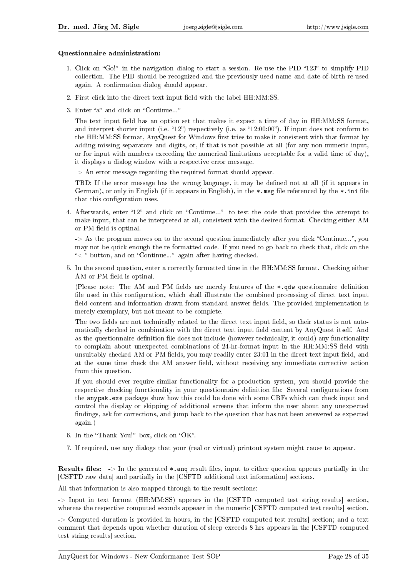#### Questionnaire administration:

- 1. Click on "Go!" in the navigation dialog to start a session. Re-use the PID "123" to simplify PID collection. The PID should be recognized and the previously used name and date-of-birth re-used again. A confirmation dialog should appear.
- 2. First click into the direct text input field with the label HH:MM:SS.
- 3. Enter "a" and click on "Continue..."

The text input field has an option set that makes it expect a time of day in HH:MM:SS format, and interpret shorter input (i.e. "12") respectively (i.e. as "12:00:00"). If input does not conform to the HH:MM:SS format, AnyQuest for Windows first tries to make it consistent with that format by adding missing separators and digits, or, if that is not possible at all (for any non-numeric input, or for input with numbers exceeding the numerical limitations acceptable for a valid time of day), it displays a dialog window with a respective error message.

-> An error message regarding the required format should appear.

TBD: If the error message has the wrong language, it may be dened not at all (if it appears in German), or only in English (if it appears in English), in the \*.msg file referenced by the \*.ini file that this configuration uses.

4. Afterwards, enter "12" and click on "Continue..." to test the code that provides the attempt to make input, that can be interpreted at all, consistent with the desired format. Checking either AM or PM field is optinal.

 $\rightarrow$  As the program moves on to the second question immediately after you click "Continue...", you may not be quick enough the re-formatted code. If you need to go back to check that, click on the " $\lt$ -" button, and on "Continue..." again after having checked.

5. In the second question, enter a correctly formatted time in the HH:MM:SS format. Checking either AM or PM field is optinal.

(Please note: The AM and PM fields are merely features of the  $*,$  qdw questionnaire definition file used in this configuration, which shall illustrate the combined processing of direct text input field content and information drawn from standard answer fields. The provided implementation is merely exemplary, but not meant to be complete.

The two fields are not technically related to the direct text input field, so their status is not automatically checked in combination with the direct text input field content by AnyQuest itself. And as the questionnaire definition file does not include (however technically, it could) any functionality to complain about unexpected combinations of 24-hr-format input in the HH:MM:SS field with unsuitably checked AM or PM fields, you may readily enter 23:01 in the direct text input field, and at the same time check the AM answer field, without receiving any immediate corrective action from this question.

If you should ever require similar functionality for a production system, you should provide the respective checking functionality in your questionnaire definition file: Several configurations from the anypak.exe package show how this could be done with some CBFs which can check input and control the display or skipping of additional screens that inform the user about any unexpected findings, ask for corrections, and jump back to the question that has not been answered as expected again.)

- 6. In the "Thank-You!" box, click on "OK".
- 7. If required, use any dialogs that your (real or virtual) printout system might cause to appear.

**Results files:**  $\rightarrow$  In the generated  $\ast$ , ang result files, input to either question appears partially in the [CSFTD raw data] and partially in the [CSFTD additional text information] sections.

All that information is also mapped through to the result sections:

-> Input in text format (HH:MM:SS) appears in the [CSFTD computed test string results] section, whereas the respective computed seconds appeaer in the numeric [CSFTD computed test results] section.

-> Computed duration is provided in hours, in the [CSFTD computed test results] section; and a text comment that depends upon whether duration of sleep exceeds 8 hrs appears in the [CSFTD computed test string results] section.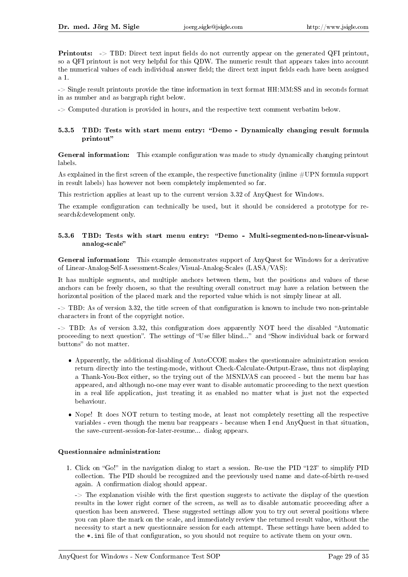**Printouts:** -> TBD: Direct text input fields do not currently appear on the generated QFI printout, so a QFI printout is not very helpful for this QDW. The numeric result that appears takes into account the numerical values of each individual answer field; the direct text input fields each have been assigned a 1.

-> Single result printouts provide the time information in text format HH:MM:SS and in seconds format in as number and as bargraph right below.

-> Computed duration is provided in hours, and the respective text comment verbatim below.

#### 5.3.5 TBD: Tests with start menu entry: "Demo - Dynamically changing result formula printout

General information: This example configuration was made to study dynamically changing printout labels.

As explained in the first screen of the example, the respective functionality (inline  $\#\text{UPN}$  formula support in result labels) has however not been completely implemented so far.

This restriction applies at least up to the current version 3.32 of AnyQuest for Windows.

The example configuration can technically be used, but it should be considered a prototype for research&development only.

#### 5.3.6 TBD: Tests with start menu entry: "Demo - Multi-segmented-non-linear-visualanalog-scale

General information: This example demonstrates support of AnyQuest for Windows for a derivative of Linear-Analog-Self-Assessment-Scales/Visual-Analog-Scales (LASA/VAS):

It has multiple segments, and multiple anchors between them, but the positions and values of these anchors can be freely chosen, so that the resulting overall construct may have a relation between the horizontal position of the placed mark and the reported value which is not simply linear at all.

 $\rightarrow$  TBD: As of version 3.32, the title screen of that configuration is known to include two non-printable characters in front of the copyright notice.

 $\rightarrow$  TBD: As of version 3.32, this configuration does apparently NOT heed the disabled "Automatic proceeding to next question". The settings of "Use filler blind..." and "Show individual back or forward buttons" do not matter.

- Apparently, the additional disabling of AutoCCOE makes the questionnaire administration session return directly into the testing-mode, without Check-Calculate-Output-Erase, thus not displaying a Thank-You-Box either, so the trying out of the MSNLVAS can proceed - but the menu bar has appeared, and although no-one may ever want to disable automatic proceeding to the next question in a real life application, just treating it as enabled no matter what is just not the expected behaviour.
- Nope! It does NOT return to testing mode, at least not completely resetting all the respective variables - even though the menu bar reappears - because when I end AnyQuest in that situation, the save-current-session-for-later-resume... dialog appears.

#### Questionnaire administration:

1. Click on "Go!" in the navigation dialog to start a session. Re-use the PID "123" to simplify PID collection. The PID should be recognized and the previously used name and date-of-birth re-used again. A confirmation dialog should appear.

 $\rightarrow$  The explanation visible with the first question suggests to activate the display of the question results in the lower right corner of the screen, as well as to disable automatic proceeding after a question has been answered. These suggested settings allow you to try out several positions where you can place the mark on the scale, and immediately review the returned result value, without the necessity to start a new questionnaire session for each attempt. These settings have been added to the  $*$ . ini file of that configuration, so you should not require to activate them on your own.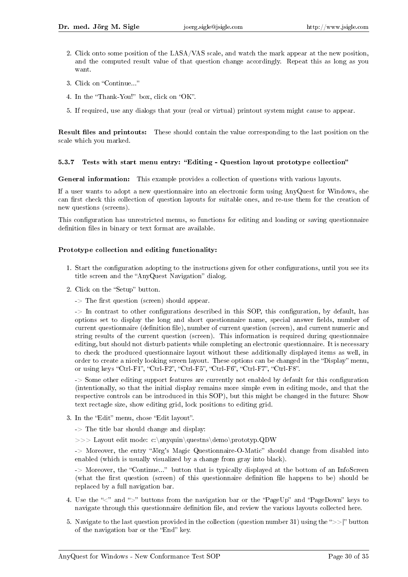- 2. Click onto some position of the LASA/VAS scale, and watch the mark appear at the new position, and the computed result value of that question change accordingly. Repeat this as long as you want.
- 3. Click on "Continue..."
- 4. In the "Thank-You!" box, click on "OK".
- 5. If required, use any dialogs that your (real or virtual) printout system might cause to appear.

Result files and printouts: These should contain the value corresponding to the last position on the scale which you marked.

#### 5.3.7 Tests with start menu entry: "Editing - Question layout prototype collection"

General information: This example provides a collection of questions with various layouts.

If a user wants to adopt a new questionnaire into an electronic form using AnyQuest for Windows, she can first check this collection of question layouts for suitable ones, and re-use them for the creation of new questions (screens).

This configuration has unrestricted menus, so functions for editing and loading or saving questionnaire definition files in binary or text format are available.

#### Prototype collection and editing functionality:

- 1. Start the configuration adopting to the instructions given for other configurations, until you see its title screen and the "AnyQuest Navigation" dialog.
- 2. Click on the "Setup" button.
	- $\Rightarrow$  The first question (screen) should appear.

 $\rightarrow$  In contrast to other configurations described in this SOP, this configuration, by default, has options set to display the long and short questionnaire name, special answer fields, number of current questionnaire (definition file), number of current question (screen), and current numeric and string results of the current question (screen). This information is required during questionnaire editing, but should not disturb patients while completing an electronic questionnaire. It is necessary to check the produced questionnaire layout without these additionally displayed items as well, in order to create a nicely looking screen layout. These options can be changed in the "Display" menu, or using keys "Ctrl-F1", "Ctrl-F2", "Ctrl-F5", "Ctrl-F6", "Ctrl-F7", "Ctrl-F8".

-> Some other editing support features are currently not enabled by default for this configuration (intentionally, so that the initial display remains more simple even in editing mode, and that the respective controls can be introduced in this SOP), but this might be changed in the future: Show text rectagle size, show editing grid, lock positions to editing grid.

- 3. In the "Edit" menu, chose "Edit layout".
	- $\Rightarrow$  The title bar should change and display:
	- >>> Layout edit mode: c:\anyquin\questns\demo\prototyp.QDW

-> Moreover, the entry "Jörg's Magic Questionnaire-O-Matic" should change from disabled into enabled (which is usually visualized by a change from gray into black).

 $\rightarrow$  Moreover, the "Continue..." button that is typically displayed at the bottom of an InfoScreen (what the first question (screen) of this questionnaire definition file happens to be) should be replaced by a full navigation bar.

- 4. Use the " $\leq$ " and " $\geq$ " buttons from the navigation bar or the "PageUp" and "PageDown" keys to navigate through this questionnaire definition file, and review the various layouts collected here.
- 5. Navigate to the last question provided in the collection (question number 31) using the " $>>$ " button of the navigation bar or the "End" key.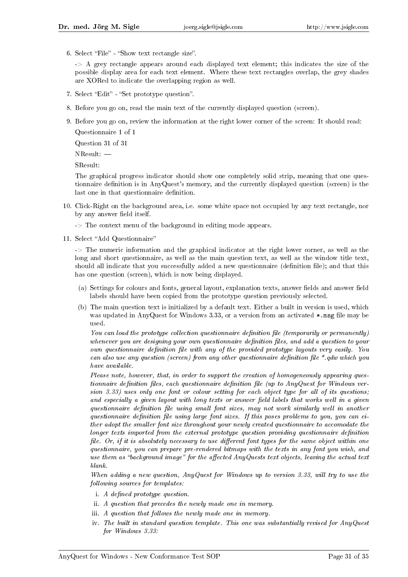6. Select "File" - "Show text rectangle size".

 $\rightarrow$  A grey rectangle appears around each displayed text element; this indicates the size of the possible display area for each text element. Where these text rectangles overlap, the grey shades are XORed to indicate the overlapping region as well.

- 7. Select "Edit" "Set prototype question".
- 8. Before you go on, read the main text of the currently displayed question (screen).
- 9. Before you go on, review the information at the right lower corner of the screen: It should read: Questionnaire 1 of 1

Question 31 of 31

NResult:

SResult:

The graphical progress indicator should show one completely solid strip, meaning that one questionnaire definition is in AnyQuest's memory, and the currently displayed question (screen) is the last one in that questionnaire definition.

- 10. Click-Right on the background area, i.e. some white space not occupied by any text rectangle, nor by any answer field itself.
	- -> The context menu of the background in editing mode appears.
- 11. Select "Add Questionnaire"

-> The numeric information and the graphical indicator at the right lower corner, as well as the long and short questionnaire, as well as the main question text, as well as the window title text, should all indicate that you successfully added a new questionnaire (definition file); and that this has one question (screen), which is now being displayed.

- (a) Settings for colours and fonts, general layout, explanation texts, answer fields and answer field labels should have been copied from the prototype question previously selected.
- (b) The main question text is initialized by a default text. Either a built in version is used, which was updated in AnyQuest for Windows 3.33, or a version from an activated  $*$ .msg file may be used.

You can load the prototype collection questionnaire definition file (temporarily or permanently) whenever you are designing your own questionnaire definition files, and add a question to your own questionnaire definition file with any of the provided prototype layouts very easily. You can also use any question (screen) from any other questionnaire definition file  $*$  qdw which you have available.

Please note, however, that, in order to support the creation of homogeneously appearing questionnaire definition files, each questionnaire definition file (up to AnyQuest for Windows version 3.33) uses only one font or colour setting for each object type for all of its questions; and especially a given layout with long texts or answer field labels that works well in a given questionnaire definition file using small font sizes, may not work similarly well in another questionnaire definition file using large font sizes. If this poses problems to you, you can either adopt the smaller font size throughout your newly created questionnaire to accomodate the  $longer$  texts imported from the external prototype question providing questionnaire definition file. Or, if it is absolutely necessary to use different font types for the same object within one questionnaire, you can prepare pre-rendered bitmaps with the texts in any font you wish, and use them as "background image" for the affected AnyQuests text objects, leaving the actual text blank.

When adding a new question, AnyQuest for Windows up to version 3.33, will try to use the following sources for templates:

- i. A defined prototype question.
- ii. A question that precedes the newly made one in memory.
- iii. A question that follows the newly made one in memory.
- iv. The built in standard question template. This one was substantially revised for AnyQuest for Windows 3.33: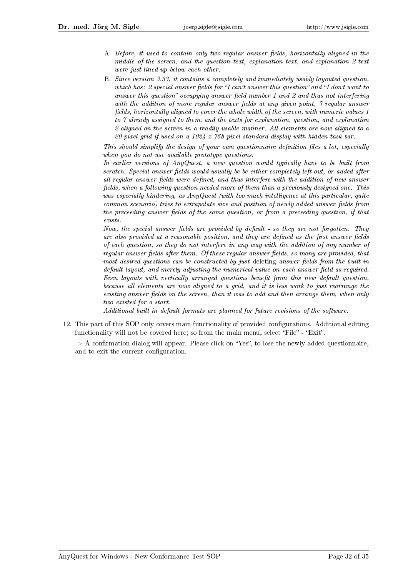- A. Before, it used to contain only two regular answer fields, horizontally aligned in the middle of the screen, and the question text, explanation text, and explanation 2 text were just lined up below each other.
- B. Since version 3.33, it contains a completely and immediately usably layouted question, which has: 2 special answer fields for "I can't answer this question" and "I don't want to answer this question" occupying answer field number 1 and 2 and thus not interfering with the addition of more regular answer fields at any given point,  $\gamma$  regular answer fields, horizontally aligned to cover the whole width of the screen, with numeric values 1 to 7 already assigned to them, and the texts for explanation, question, and explanation 2 aligned on the screen in a readily usable manner. All elements are now aligned to a 20 pixel grid if used on a 1024 x 768 pixel standard display with hidden task bar.

This should simplify the design of your own questionnaire definition files a lot, especially when you do not use available prototype questions:

In earlier versions of AnyQuest, a new question would typically have to be built from scratch. Special answer fields would usually be be either completely left out, or added after all regular answer fields were defined, and thus interfere with the addition of new answer fields, when a following question needed more of them than a previously designed one. This was especially hindering, as AnyQuest (with too much intelligence at this particular, quite  $common\ scenario)$  tries to extrapolate size and position of newly added answer fields from the preceeding answer fields of the same question, or from a preceeding question, if that exists.

Now, the special answer fields are provided by default - so they are not forgotten. They are also provided at a reasonable position, and they are defined as the first answer fields of each question, so they do not interfere in any way with the addition of any number of regular answer fields after them. Of these regular answer fields, so many are provided, that most desired questions can be constructed by just deleting answer fields from the built in  $default layout, and merely adjusting the numerical value on each answer field as required.$ Even layouts with vertically arranged questions benefit from this new default question, because all elements are now aligned to a grid, and it is less work to just rearrange the  $existing answer fields on the screen, than it was to add and then arrange them, when only$ two existed for a start.

Additional built in default formats are planned for future revisions of the software.

12. This part of this SOP only covers main functionality of provided congurations. Additional editing functionality will not be covered here; so from the main menu, select "File" - "Exit".

 $\rightarrow$  A confirmation dialog will appear. Please click on "Yes", to lose the newly added questionnaire, and to exit the current configuration.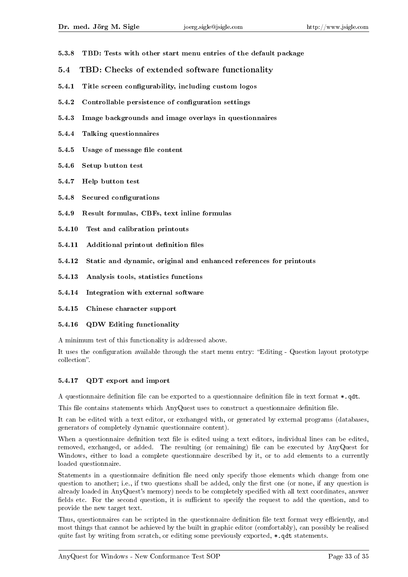- 5.3.8 TBD: Tests with other start menu entries of the default package
- 5.4 TBD: Checks of extended software functionality
- 5.4.1 Title screen configurability, including custom logos
- 5.4.2 Controllable persistence of configuration settings
- 5.4.3 Image backgrounds and image overlays in questionnaires
- 5.4.4 Talking questionnaires
- 5.4.5 Usage of message file content
- 5.4.6 Setup button test
- 5.4.7 Help button test
- 5.4.8 Secured configurations
- 5.4.9 Result formulas, CBFs, text inline formulas
- 5.4.10 Test and calibration printouts
- 5.4.11 Additional printout definition files
- 5.4.12 Static and dynamic, original and enhanced references for printouts
- 5.4.13 Analysis tools, statistics functions
- 5.4.14 Integration with external software
- 5.4.15 Chinese character support

#### 5.4.16 QDW Editing functionality

A minimum test of this functionality is addressed above.

It uses the configuration available through the start menu entry: "Editing - Question layout prototype collection".

#### 5.4.17 QDT export and import

A questionnaire definition file can be exported to a questionnaire definition file in text format  $\ast$ ,  $\det$ .

This file contains statements which AnyQuest uses to construct a questionnaire definition file.

It can be edited with a text editor, or exchanged with, or generated by external programs (databases, generators of completely dynamic questionnaire content).

When a questionnaire definition text file is edited using a text editors, individual lines can be edited, removed, exchanged, or added. The resulting (or remaining) file can be executed by AnyQuest for Windows, either to load a complete questionnaire described by it, or to add elements to a currently loaded questionnaire.

Statements in a questionnaire definition file need only specify those elements which change from one question to another; i.e., if two questions shall be added, only the first one (or none, if any question is already loaded in AnyQuest's memory) needs to be completely specified with all text coordinates, answer fields etc. For the second question, it is sufficient to specify the request to add the question, and to provide the new target text.

Thus, questionnaires can be scripted in the questionnaire definition file text format very efficiently, and most things that cannot be achieved by the built in graphic editor (comfortably), can possibly be realised quite fast by writing from scratch, or editing some previously exported,  $\ast$ , qdt statements.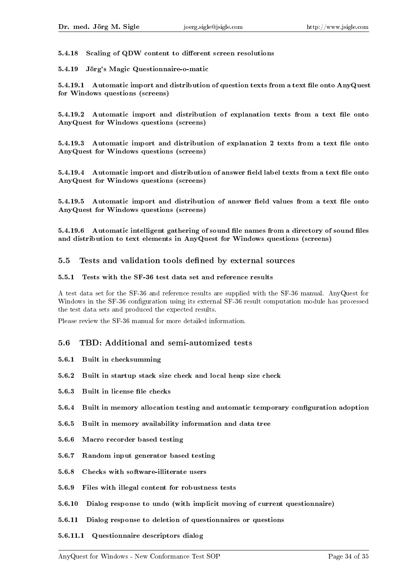5.4.18 Scaling of QDW content to different screen resolutions

5.4.19 Jörg's Magic Questionnaire-o-matic

5.4.19.1 Automatic import and distribution of question texts from a text file onto AnyQuest for Windows questions (screens)

5.4.19.2 Automatic import and distribution of explanation texts from a text file onto AnyQuest for Windows questions (screens)

5.4.19.3 Automatic import and distribution of explanation 2 texts from a text file onto AnyQuest for Windows questions (screens)

5.4.19.4 Automatic import and distribution of answer field label texts from a text file onto AnyQuest for Windows questions (screens)

5.4.19.5 Automatic import and distribution of answer field values from a text file onto AnyQuest for Windows questions (screens)

5.4.19.6 Automatic intelligent gathering of sound file names from a directory of sound files and distribution to text elements in AnyQuest for Windows questions (screens)

#### 5.5 Tests and validation tools defined by external sources

#### 5.5.1 Tests with the SF-36 test data set and reference results

A test data set for the SF-36 and reference results are supplied with the SF-36 manual. AnyQuest for Windows in the SF-36 configuration using its external SF-36 result computation module has processed the test data sets and produced the expected results.

Please review the SF-36 manual for more detailed information.

#### 5.6 TBD: Additional and semi-automized tests

- 5.6.1 Built in checksumming
- 5.6.2 Built in startup stack size check and local heap size check
- 5.6.3 Built in license file checks
- 5.6.4 Built in memory allocation testing and automatic temporary conguration adoption
- 5.6.5 Built in memory availability information and data tree
- 5.6.6 Macro recorder based testing
- 5.6.7 Random input generator based testing
- 5.6.8 Checks with software-illiterate users
- 5.6.9 Files with illegal content for robustness tests
- 5.6.10 Dialog response to undo (with implicit moving of current questionnaire)
- 5.6.11 Dialog response to deletion of questionnaires or questions
- 5.6.11.1 Questionnaire descriptors dialog